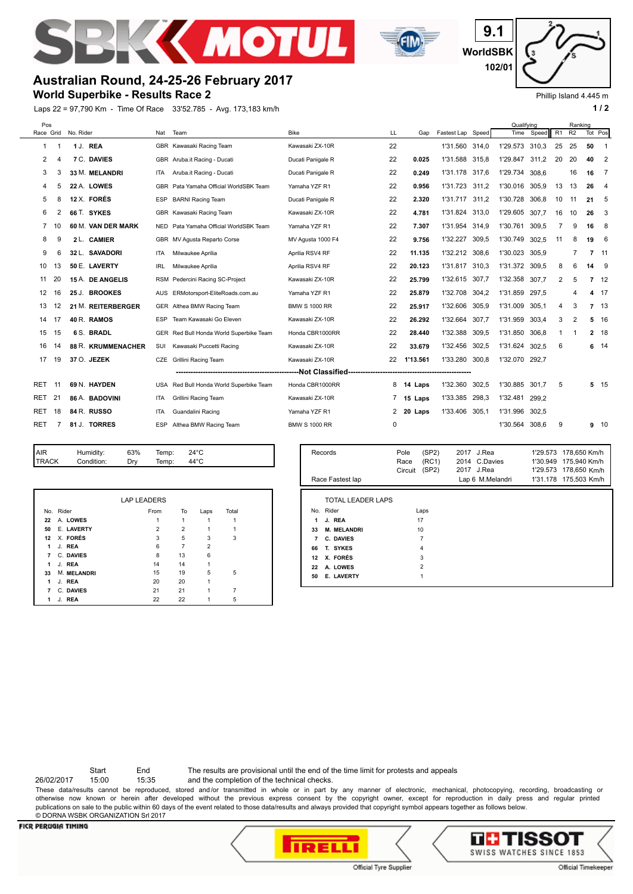



**WorldSBK 9.1 102/01**

# **Australian Round, 24-25-26 February 2017**

**World Superbike - Results Race 2**

Laps 22 = 97,790 Km - Time Of Race 33'52.785 - Avg. 173,183 km/h **1 and 2 1 and 2 1 a 1 a 1 a 1 a 1 a 1 a 1 a 1 a 1 a 1 a 1 a 1 a 1 a 1 a 1 a 1 a 1 a 1 a 1 a 1 a 1 a 1 a 1 a** 



| Pos        |    |                     |                    |            |                                         |                      |    |           |                   |       | Qualifving     |       |    | Ranking |                |                |
|------------|----|---------------------|--------------------|------------|-----------------------------------------|----------------------|----|-----------|-------------------|-------|----------------|-------|----|---------|----------------|----------------|
|            |    | Race Grid No. Rider |                    | Nat        | Team                                    | <b>Bike</b>          | LL | Gap       | Fastest Lap Speed |       | Time           | Speed | R1 | R2      | Tot Pos        |                |
| 1          |    |                     | 1 J. REA           |            | GBR Kawasaki Racing Team                | Kawasaki ZX-10R      | 22 |           | 1'31.560 314,0    |       | 1'29.573 310,3 |       | 25 | 25      | 50             | -1             |
| 2          | 4  |                     | <b>7 C. DAVIES</b> |            | GBR Aruba.it Racing - Ducati            | Ducati Panigale R    | 22 | 0.025     | 1'31.588 315.8    |       | 1'29.847       | 311.2 | 20 | 20      | 40             | $\overline{2}$ |
| 3          | 3  |                     | 33 M. MELANDRI     | ITA        | Aruba.it Racing - Ducati                | Ducati Panigale R    | 22 | 0.249     | 1'31.178 317,6    |       | 1'29.734       | 308.6 |    | 16      | 16             | 7              |
| 4          | 5  |                     | 22 A. LOWES        | <b>GBR</b> | Pata Yamaha Official WorldSBK Team      | Yamaha YZF R1        | 22 | 0.956     | 1'31.723          | 311,2 | 1'30.016       | 305.9 | 13 | 13      | 26             | $\overline{4}$ |
| 5          | 8  |                     | 12 X. FORÉS        | ESP        | <b>BARNI Racing Team</b>                | Ducati Panigale R    | 22 | 2.320     | 1'31.717          | 311,2 | 1'30.728       | 306.8 | 10 | 11      | 21             | -5             |
| 6          |    |                     | 66 T. SYKES        | <b>GBR</b> | Kawasaki Racing Team                    | Kawasaki ZX-10R      | 22 | 4.781     | 1'31.824          | 313,0 | 1'29.605       | 307,7 | 16 | 10      | 26             | 3              |
| 7          |    |                     | 60 M. VAN DER MARK |            | NED Pata Yamaha Official WorldSBK Team  | Yamaha YZF R1        | 22 | 7.307     | 1'31.954 314,9    |       | 1'30.761       | 309.5 | 7  | 9       | 16             | 8              |
| 8          | 9  |                     | 2 L. CAMIER        |            | GBR MV Agusta Reparto Corse             | MV Agusta 1000 F4    | 22 | 9.756     | 1'32.227          | 309,5 | 1'30.749       | 302,5 | 11 | 8       | 19             | - 6            |
| 9          | 6  |                     | 32 L. SAVADORI     | ITA        | Milwaukee Aprilia                       | Aprilia RSV4 RF      | 22 | 11.135    | 1'32.212 308,6    |       | 1'30.023       | 305.9 |    | 7       | $7 \quad 11$   |                |
| 10         | 13 |                     | 50 E. LAVERTY      | <b>IRL</b> | Milwaukee Aprilia                       | Aprilia RSV4 RF      | 22 | 20.123    | 1'31.817          | 310.3 | 1'31.372       | 309.5 | 8  | 6       | 14             | - 9            |
| 11         | 20 |                     | 15 A. DE ANGELIS   | <b>RSM</b> | Pedercini Racing SC-Project             | Kawasaki ZX-10R      | 22 | 25.799    | 1'32.615          | 307.7 | 1'32.358       | 307.7 | 2  | 5       | 7              | 12             |
| 12         | 16 |                     | 25 J. BROOKES      | AUS        | ERMotorsport-EliteRoads.com.au          | Yamaha YZF R1        | 22 | 25.879    | 1'32.708          | 304,2 | 1'31.859       | 297.5 |    | 4       | 4              | 17             |
| 13         | 12 |                     | 21 M. REITERBERGER |            | GER Althea BMW Racing Team              | <b>BMW S 1000 RR</b> | 22 | 25.917    | 1'32.606          | 305,9 | 1'31.009       | 305.1 | 4  | 3       | $\overline{7}$ | 13             |
| 14         | 17 |                     | 40 R. RAMOS        | <b>ESP</b> | Team Kawasaki Go Eleven                 | Kawasaki ZX-10R      | 22 | 26.292    | 1'32.664          | 307,7 | 1'31.959       | 303,4 | 3  | 2       | 5              | 16             |
| 15         | 15 |                     | 6 S. BRADL         |            | GER Red Bull Honda World Superbike Team | Honda CBR1000RR      | 22 | 28.440    | 1'32.388          | 309,5 | 1'31.850       | 306.8 | -1 |         |                | 2 18           |
| 16         | 14 |                     | 88 R. KRUMMENACHER | SUI        | Kawasaki Puccetti Racing                | Kawasaki ZX-10R      | 22 | 33.679    | 1'32.456          | 302.5 | 1'31.624       | 302.5 | 6  |         |                | $6 \t14$       |
| 17         | 19 |                     | 37 O. JEZEK        | CZE        | Grillini Racing Team                    | Kawasaki ZX-10R      | 22 | 1'13.561  | 1'33.280          | 300,8 | 1'32.070       | 292.7 |    |         |                |                |
|            |    |                     |                    |            |                                         |                      |    |           |                   |       |                |       |    |         |                |                |
| <b>RET</b> | 11 |                     | 69 N. HAYDEN       | USA        | Red Bull Honda World Superbike Team     | Honda CBR1000RR      | 8  | 14 Laps   | 1'32.360          | 302,5 | 1'30.885       | 301.7 | 5  |         |                | $5 \quad 15$   |
| <b>RET</b> | 21 |                     | 86 A. BADOVINI     | ITA        | Grillini Racing Team                    | Kawasaki ZX-10R      |    | 15 Laps   | 1'33.385          | 298,3 | 1'32.481       | 299.2 |    |         |                |                |
| <b>RET</b> | 18 |                     | 84 R. RUSSO        | ITA        | Guandalini Racing                       | Yamaha YZF R1        |    | 2 20 Laps | 1'33.406 305,1    |       | 1'31.996       | 302.5 |    |         |                |                |
| <b>RET</b> |    |                     | 81 J. TORRES       | <b>ESP</b> | Althea BMW Racing Team                  | <b>BMW S 1000 RR</b> | 0  |           |                   |       | 1'30.564       | 308.6 | 9  |         |                | $9 - 10$       |
|            |    |                     |                    |            |                                         |                      |    |           |                   |       |                |       |    |         |                |                |

| <b>IAIR</b>  | Humidity:  | 63%                | Temp: |    | $24^{\circ}$ C |       |  |
|--------------|------------|--------------------|-------|----|----------------|-------|--|
| <b>TRACK</b> | Condition: | Drv                | Temp: |    | $44^{\circ}$ C |       |  |
|              |            |                    |       |    |                |       |  |
|              |            |                    |       |    |                |       |  |
|              |            |                    |       |    |                |       |  |
|              |            | <b>LAP LEADERS</b> |       |    |                |       |  |
| No. Rider    |            |                    | From  | To | Laps           | Total |  |
| 22           | A. LOWES   |                    |       |    |                |       |  |

 X. **FORÉS 1** J. **REA 6** 7 2<br>**7** C. DAVIES **8** 13 6 J. **REA** 6 7 2 C. **DAVIES** 8 13 6 1 J. **REA** 14 14 14 15<br>**33 M. MELANDRI** 15 19 5 M. **MELANDRI** 15 15 19 5 5<br>**1** J. REA 20 20 1 J. **REA** 20 20 1 C. **DAVIES** 21 21 1 7 J. **REA** 22 22 1 5

**50 E. LAVERTY** 2 2 2

|    | Records                  | (SP2)<br>Pole<br>(RC1)<br>Race<br>(SP2)<br>Circuit | 2017 J.Rea<br>2014 C.Davies<br>2017 J.Rea | 178,650 Km/h<br>1'29.573<br>175.940 Km/h<br>1'30.949<br>1'29.573 178,650 Km/h |
|----|--------------------------|----------------------------------------------------|-------------------------------------------|-------------------------------------------------------------------------------|
|    | Race Fastest lap         |                                                    | Lap 6 M.Melandri                          | 1'31.178 175.503 Km/h                                                         |
|    | <b>TOTAL LEADER LAPS</b> |                                                    |                                           |                                                                               |
|    | No. Rider                | Laps                                               |                                           |                                                                               |
| 1  | J. REA                   | 17                                                 |                                           |                                                                               |
| 33 | <b>M. MELANDRI</b>       | 10                                                 |                                           |                                                                               |
| 7  | C. DAVIES                | 7                                                  |                                           |                                                                               |
| 66 | T. SYKES                 | 4                                                  |                                           |                                                                               |
| 12 | X. FORÉS                 | 3                                                  |                                           |                                                                               |
| 22 | A. LOWES                 | $\overline{2}$                                     |                                           |                                                                               |
| 50 | E. LAVERTY               |                                                    |                                           |                                                                               |

Start End The results are provisional until the end of the time limit for protests and appeals

26/02/2017 15:00 15:35 and the completion of the technical checks.

These data/results cannot be reproduced, stored and/or transmitted in whole or in part by any manner of electronic, mechanical, photocopying, recording, broadcasting or otherwise now known or herein after developed without the previous express consent by the copyright owner, except for reproduction in daily press and regular printed publications on sale to the public within 60 days of the event related to those data/results and always provided that copyright symbol appears together as follows below. © DORNA WSBK ORGANIZATION Srl 2017



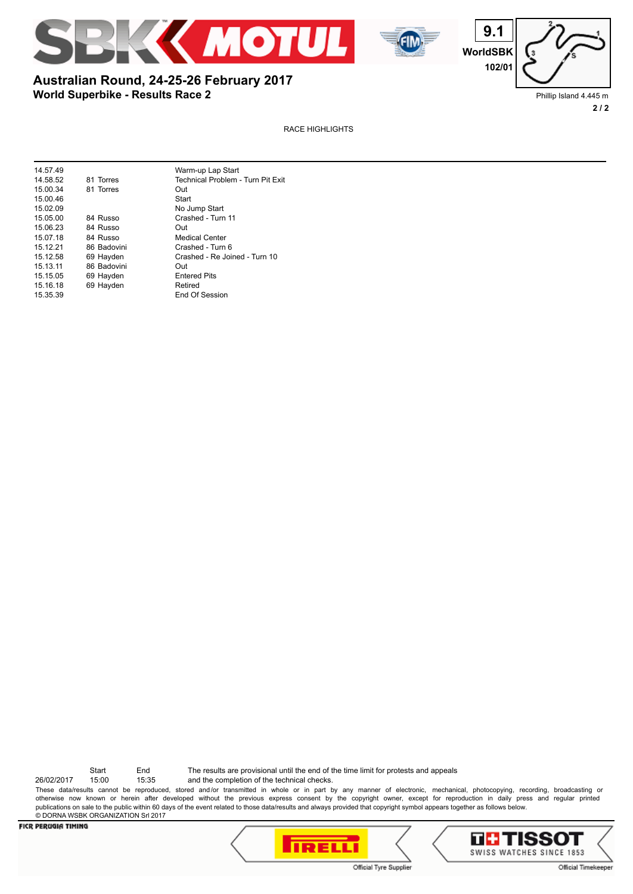





## **World Superbike - Results Race 2 Australian Round, 24-25-26 February 2017**

Phillip Island 4.445 m **2 / 2**

RACE HIGHLIGHTS

| 14.57.49 |             | Warm-up Lap Start                 |
|----------|-------------|-----------------------------------|
| 14.58.52 | 81 Torres   | Technical Problem - Turn Pit Exit |
| 15.00.34 | 81 Torres   | Out                               |
| 15.00.46 |             | Start                             |
| 15.02.09 |             | No Jump Start                     |
| 15.05.00 | 84 Russo    | Crashed - Turn 11                 |
| 15.06.23 | 84 Russo    | Out                               |
| 15.07.18 | 84 Russo    | <b>Medical Center</b>             |
| 15.12.21 | 86 Badovini | Crashed - Turn 6                  |
| 15.12.58 | 69 Hayden   | Crashed - Re Joined - Turn 10     |
| 15.13.11 | 86 Badovini | Out                               |
| 15.15.05 | 69 Hayden   | <b>Entered Pits</b>               |
| 15.16.18 | 69 Hayden   | Retired                           |
| 15.35.39 |             | End Of Session                    |
|          |             |                                   |

26/02/2017 15:00 15:35 and the completion of the technical checks. Start End The results are provisional until the end of the time limit for protests and appeals

These data/results cannot be reproduced, stored and/or transmitted in whole or in part by any manner of electronic, mechanical, photocopying, recording, broadcasting or otherwise now known or herein after developed without the previous express consent by the copyright owner, except for reproduction in daily press and regular printed publications on sale to the public within 60 days of the event related to those data/results and always provided that copyright symbol appears together as follows below. © DORNA WSBK ORGANIZATION Srl 2017



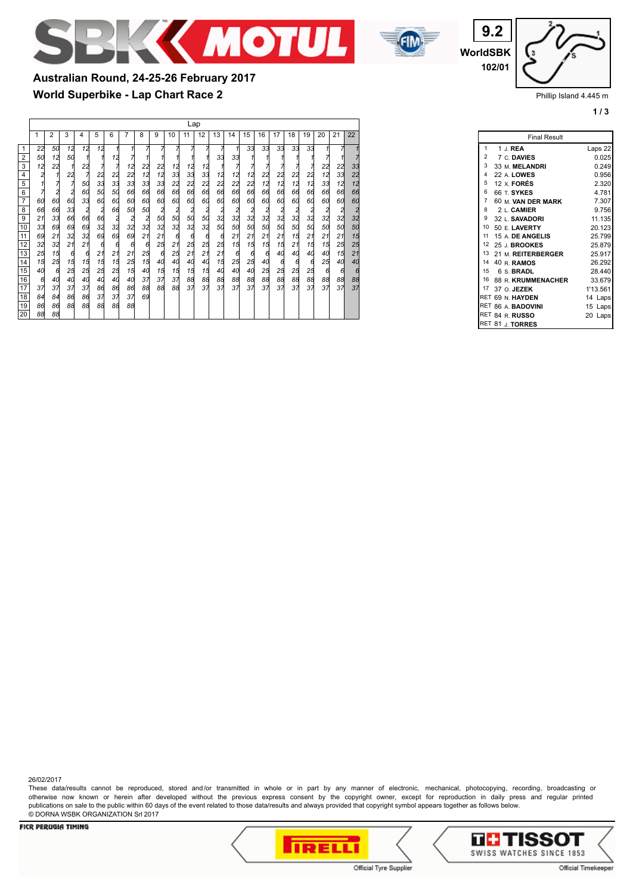



**WorldSBK 9.2 102/01**

Phillip Island 4.445 m

**1 / 3**

**World Superbike - Lap Chart Race 2 Australian Round, 24-25-26 February 2017** Lap

|                                 | 1  | 2  | 3                                        | 4                                        | 5                                        | 6              | 7              | 8                                        | 9            | 10             | 11             | 12                      | 13                                       | 14                                       | 15             | 16                                       | 17                                       | 18                                       | 19                                       | 20             | 21                                       | 22             |
|---------------------------------|----|----|------------------------------------------|------------------------------------------|------------------------------------------|----------------|----------------|------------------------------------------|--------------|----------------|----------------|-------------------------|------------------------------------------|------------------------------------------|----------------|------------------------------------------|------------------------------------------|------------------------------------------|------------------------------------------|----------------|------------------------------------------|----------------|
| $\mathbf{1}$                    | 22 | 50 | 12                                       | 12                                       | 12                                       |                |                | 7                                        |              |                |                |                         | 7                                        |                                          | 33             | 33                                       | 33                                       | 33                                       | 33                                       |                |                                          |                |
| $\mathbf 2$                     | 50 | 12 | 50                                       |                                          | 1                                        | 12             |                |                                          |              | 1              |                |                         | 33                                       | 33                                       | 1              |                                          |                                          |                                          |                                          |                |                                          |                |
| $\overline{3}$                  | 12 | 22 | 1                                        | 22                                       | 7                                        |                | 12             | 22                                       | 22           | 12             | 12             | 12                      | 1                                        |                                          | 7              |                                          | 7                                        | 7                                        |                                          | 22             | 22                                       | 33             |
| $\overline{4}$                  | 2  | 11 | 22                                       | 7                                        | 22                                       | 22             | 22             | 12                                       | 12           | 33             | 33             | 33                      | 12                                       | 12                                       | 12             | 22                                       | 22                                       | 22                                       | 22                                       | 12             | 33                                       | 22             |
| $\overline{5}$                  |    | 7  | 7                                        | 5d                                       | 33                                       | 33             | 33             | 33                                       | 33           | 22             | 22             | 22                      | 22                                       | 22                                       | 22             | 12                                       | 12                                       | 12                                       | 12                                       | 33             | 12                                       | 12             |
| 6                               | 7  | 2  | $\begin{array}{c}\n2 \\ 60\n\end{array}$ | 6d                                       | 50                                       | 50             | 66             | 66                                       | 66           | 66             | 66             | 66                      | 66                                       | 66                                       | 66             | 66                                       | 66                                       | 66                                       | 66                                       | 66             | 66                                       | 66             |
| $\overline{7}$                  | 60 | 60 |                                          | 33                                       | 60                                       | 60             | 60             | 60                                       | 60           | 60             | 60             | 60                      | 60                                       | 6d                                       | 60             | 60                                       | 6d                                       | 60                                       | 60                                       | 60             | 6d                                       | 60             |
| $\overline{8}$                  | 66 | 66 | 33                                       | $\begin{array}{c}\n2 \\ 66\n\end{array}$ | $\begin{array}{c}\n2 \\ 66\n\end{array}$ | 66             | 50             | 50                                       | $rac{2}{50}$ | $\frac{2}{50}$ | $\overline{a}$ | $\overline{\mathbf{c}}$ | $\begin{array}{c}\n2 \\ 32\n\end{array}$ | $\begin{array}{c}\n2 \\ 32\n\end{array}$ | $\frac{2}{32}$ | $\begin{array}{c}\n2 \\ 32\n\end{array}$ | $\begin{array}{c}\n2 \\ 32\n\end{array}$ | $\begin{array}{c}\n2 \\ 32\n\end{array}$ | $\begin{array}{c}\n2 \\ 32\n\end{array}$ | $\frac{2}{32}$ | $\begin{array}{c}\n2 \\ 32\n\end{array}$ | $\frac{2}{32}$ |
| $\overline{9}$                  | 21 | 33 | 66                                       |                                          |                                          | $\overline{a}$ | $\overline{a}$ | $\begin{array}{c}\n2 \\ 32\n\end{array}$ |              |                | 50             | 50                      |                                          |                                          |                |                                          |                                          |                                          |                                          |                |                                          |                |
| 10                              | 33 | 69 | 69                                       | 69                                       | 32                                       | 32             | 32             |                                          | 32           | 32             | 32             | 32                      | 50                                       | <b>50</b>                                | 50             | 50                                       | 5d                                       | 50                                       | 50                                       | 50             | 5d                                       | 50             |
| $\overline{11}$                 | 69 | 21 | 32                                       | 32                                       | 69                                       | 69             | 69             | 21                                       | 21           | 6              | 6              | 6                       | 6                                        | 21                                       | 21             | 21                                       | 21                                       | 15                                       | 21                                       | 21             | 21                                       | 15             |
| $\frac{12}{13}$                 | 32 | 32 | 21                                       | 21                                       | 6                                        | 6              | 6              | 6                                        | 25           | 21             | 25             | 25                      | 25                                       | 15                                       | 15             | 15                                       | 15                                       | 21                                       | 15                                       | 15             | 25                                       | 25             |
|                                 | 25 | 15 | 6                                        | 6                                        | 21                                       | 21             | 21             | 25                                       | 6            | 25             | 21             | 21                      | 21                                       | $\epsilon$                               | 6              | 6                                        | 40                                       | 40                                       | 40                                       | 40             | 15                                       | 21             |
| $\overline{14}$                 | 15 | 25 | 15                                       | 15                                       | 15                                       | 15             | 25             | 15                                       | 40           | 40             | 40             | 40                      | 15                                       | 25                                       | 25             | 40                                       | 6                                        | 6                                        | 6                                        | 25             | 40                                       | 40             |
| $\frac{15}{16}$ $\frac{17}{17}$ | 40 | 6  | 25                                       | 25                                       | 25                                       | 25             | 15             | 40                                       | 15           | 15             | 15             | 15                      | 40                                       | 4d                                       | 40             | 25                                       | 25                                       | 25                                       | 25                                       | 6              | 6                                        | 6              |
|                                 | 6  | 40 | 40                                       | 4d                                       | 40                                       | 40             | 40             | 37                                       | 37           | 37             | 88             | 88                      | 88                                       | 88                                       | 88             | 88                                       | 88                                       | 88                                       | 88                                       | 88             | 88<br>37                                 | 88             |
|                                 | 37 | 37 | 37                                       | 37                                       | 86                                       | 86             | 86             | 88                                       | 88           | 88             | 37             | 37                      | 37                                       | 37                                       | 37             | 37                                       | 37                                       | 37                                       | 37                                       | 37             |                                          | 37             |
| 18                              | 84 | 84 | 86                                       | 86                                       | 37                                       | 37             | 37             | 69                                       |              |                |                |                         |                                          |                                          |                |                                          |                                          |                                          |                                          |                |                                          |                |
| 19                              | 86 | 86 | 88                                       | 88                                       | 88                                       | 88             | 88             |                                          |              |                |                |                         |                                          |                                          |                |                                          |                                          |                                          |                                          |                |                                          |                |
| 20                              | 88 | 88 |                                          |                                          |                                          |                |                |                                          |              |                |                |                         |                                          |                                          |                |                                          |                                          |                                          |                                          |                |                                          |                |

|                 | <b>Final Result</b>       |            |
|-----------------|---------------------------|------------|
| 1               | 1 J. REA                  | Laps 22    |
| $\overline{2}$  | 7 C. DAVIES               | 0.025      |
| 3               | 33 M MFI ANDRI            | 0.249      |
| 4               | 22 A. LOWES               | 0.956      |
| 5               | 12 $\times$ FORES         | 2.320      |
| 6               | 66 T SYKFS                | 4.781      |
| 7               | 60 M VAN DER MARK         | 7.307      |
| 8               | $2 L$ CAMIER              | 9.756      |
| 9               | 32 L. SAVADORI            | 11.135     |
| 10              | 50 E. LAVERTY             | 20.123     |
| 11              | 15 A. DE ANGELIS          | 25.799     |
|                 | 12 25 J. BROOKES          | 25.879     |
| 13              | 21 M REITERBERGER         | 25.917     |
| 14              | 40 R. RAMOS               | 26.292     |
| 15              | 6 S. BRADL                | 28.440     |
| 16              | 88 R. KRUMMENACHER 33.679 |            |
| 17 <sup>7</sup> | 37 O. JEZEK               | 1'13.561   |
|                 | RET 69 N. HAYDEN          | 14 Laps    |
|                 | RET 86 A. BADOVINI        | 15 Laps    |
|                 | RET 84 R. RUSSO           | 20<br>Laps |
|                 | RET 81 J. TORRES          |            |

26/02/2017

These data/results cannot be reproduced, stored and/or transmitted in whole or in part by any manner of electronic, mechanical, photocopying, recording, broadcasting or otherwise now known or herein after developed without the previous express consent by the copyright owner, except for reproduction in daily press and regular printed publications on sale to the public within 60 days of the event related to those data/results and always provided that copyright symbol appears together as follows below. © DORNA WSBK ORGANIZATION Srl 2017



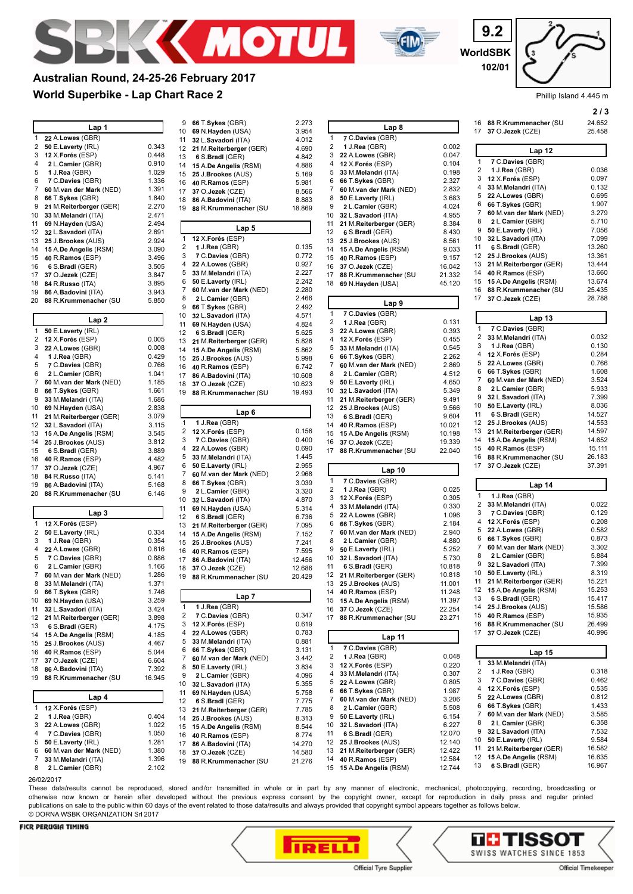

**Australian Round, 24-25-26 February 2017**



**WorldSBK 9.2 102/01**

**2 / 3**

|    | <b>World Superbike - Lap Chart Race 2</b> |        |              |                          |        |              |                             |        |                         | Phillip Island 4.445 m     |               |
|----|-------------------------------------------|--------|--------------|--------------------------|--------|--------------|-----------------------------|--------|-------------------------|----------------------------|---------------|
|    |                                           |        | 9            | 66 T.Sykes (GBR)         | 2.273  |              |                             |        | 16                      | 88 R.Krummenacher (SU      | 213<br>24.652 |
|    | Lap 1                                     |        | 10           | 69 N.Hayden (USA)        | 3.954  |              | Lap <sub>8</sub>            |        |                         | 17 37 O.Jezek (CZE)        | 25.458        |
| 1  | 22 A.Lowes (GBR)                          |        | 11           | 32 L.Savadori (ITA)      | 4.012  | 1            | 7 C.Davies (GBR)            |        |                         |                            |               |
| 2  | 50 E.Laverty (IRL)                        | 0.343  | 12           | 21 M.Reiterberger (GER)  | 4.690  | 2            | 1 J.Rea (GBR)               | 0.002  |                         | Lap 12                     |               |
| 3  | 12 X.Forés (ESP)                          | 0.448  | 13           | 6 S.Bradl (GER)          | 4.842  | 3            | 22 A.Lowes (GBR)            | 0.047  |                         | 7 C.Davies (GBR)           |               |
| 4  | 2 L.Camier (GBR)                          | 0.910  | 14           | 15 A.De Angelis (RSM)    | 4.886  |              | 4 12 X.Forés (ESP)          | 0.104  | $\mathbf{1}$<br>2       | 1 J.Rea $(GBR)$            | 0.036         |
| 5  | 1 J.Rea (GBR)                             | 1.029  | 15           | 25 J.Brookes (AUS)       | 5.169  | 5            | 33 M.Melandri (ITA)         | 0.198  | 3                       | 12 X.Forés (ESP)           | 0.097         |
| 6  | 7 C.Davies (GBR)                          | 1.336  | 16           | 40 R.Ramos (ESP)         | 5.981  | 6            | 66 T.Sykes (GBR)            | 2.327  | 4                       | 33 M.Melandri (ITA)        | 0.132         |
| 7  | 60 M.van der Mark (NED)                   | 1.391  | 17           | 37 O.Jezek (CZE)         | 8.566  | $\mathbf{7}$ | 60 M.van der Mark (NED)     | 2.832  | 5                       | 22 A.Lowes (GBR)           | 0.695         |
| 8  | 66 T.Sykes (GBR)                          | 1.840  | 18           | 86 A.Badovini (ITA)      | 8.883  | 8            | 50 E.Laverty (IRL)          | 3.683  | 6                       | 66 T.Sykes (GBR)           | 1.907         |
| 9  | 21 M.Reiterberger (GER)                   | 2.270  | 19           | 88 R.Krummenacher (SU    | 18.869 | 9            | 2 L.Camier (GBR)            | 4.024  | $\mathbf{7}$            | 60 M.van der Mark (NED)    | 3.279         |
| 10 | 33 M.Melandri (ITA)                       | 2.471  |              |                          |        |              | 10 32 L.Savadori (ITA)      | 4.955  | 8                       | 2 L.Camier (GBR)           | 5.710         |
| 11 | 69 N.Hayden (USA)                         | 2.494  |              | Lap 5                    |        | 11           | 21 M.Reiterberger (GER)     | 8.384  | 9                       | 50 E.Laverty (IRL)         | 7.056         |
|    | 12 32 L.Savadori (ITA)                    | 2.691  | $\mathbf{1}$ | 12 X.Forés (ESP)         |        | 12           | 6 S.Bradl (GER)             | 8.430  | 10                      | 32 L.Savadori (ITA)        | 7.099         |
| 13 | 25 J.Brookes (AUS)                        | 2.924  | 2            | 1 J.Rea $(GBR)$          | 0.135  |              | 13 25 J.Brookes (AUS)       | 8.561  | 11                      | 6 S.Bradl (GER)            | 13.260        |
| 14 | 15 A.De Angelis (RSM)                     | 3.090  | 3            | 7 C.Davies (GBR)         | 0.772  |              | 14 15 A.De Angelis (RSM)    | 9.033  |                         | 12 25 J.Brookes (AUS)      | 13.361        |
|    | 15 40 R.Ramos (ESP)                       | 3.496  | 4            | 22 A.Lowes (GBR)         | 0.927  |              | 15 40 R. Ramos (ESP)        | 9.157  |                         | 13 21 M.Reiterberger (GER) | 13.444        |
| 16 | 6 S.Bradl (GER)                           | 3.505  | 5            | 33 M.Melandri (ITA)      | 2.227  | 16           | 37 O.Jezek (CZE)            | 16.042 |                         | 14 40 R. Ramos (ESP)       | 13.660        |
| 17 | 37 O.Jezek (CZE)                          | 3.847  | 6            | 50 E.Laverty (IRL)       | 2.242  | 17           | 88 R.Krummenacher (SU       | 21.332 | 15                      | 15 A.De Angelis (RSM)      | 13.674        |
| 18 | 84 R. <b>Russo</b> (ITA)                  | 3.895  | 7            | 60 M.van der Mark (NED)  | 2.280  |              | 18 69 N.Hayden (USA)        | 45.120 |                         | 16 88 R.Krummenacher (SU   | 25.435        |
| 19 | 86 A.Badovini (ITA)                       | 3.943  | 8            | 2 L.Camier (GBR)         | 2.466  |              |                             |        |                         | 17 37 O.Jezek (CZE)        | 28.788        |
|    | 20 88 R.Krummenacher (SU                  | 5.850  | 9            | 66 T.Sykes (GBR)         | 2.492  |              | Lap 9                       |        |                         |                            |               |
|    |                                           |        | 10           | 32 L.Savadori (ITA)      | 4.571  | $\mathbf{1}$ | 7 C.Davies (GBR)            |        |                         |                            |               |
|    | Lap <sub>2</sub>                          |        | 11           | 69 N.Hayden (USA)        | 4.824  | 2            | 1 J.Rea (GBR)               | 0.131  |                         | Lap <sub>13</sub>          |               |
| 1  | 50 E.Laverty (IRL)                        |        | 12           | 6 S.Bradl (GER)          | 5.625  | 3            | 22 A.Lowes (GBR)            | 0.393  | $\mathbf{1}$            | 7 C.Davies (GBR)           |               |
| 2  | 12 X.Forés (ESP)                          | 0.005  | 13           | 21 M.Reiterberger (GER)  | 5.826  |              | 4 12 X.Forés (ESP)          | 0.455  | $\overline{\mathbf{c}}$ | 33 M.Melandri (ITA)        | 0.032         |
| 3  | 22 A.Lowes (GBR)                          | 0.008  | 14           | 15 A.De Angelis (RSM)    | 5.862  |              | 5 33 M. Melandri (ITA)      | 0.545  | 3                       | 1 J. $Rea$ (GBR)           | 0.130         |
| 4  | 1 J.Rea (GBR)                             | 0.429  | 15           | 25 J.Brookes (AUS)       | 5.998  | 6            | 66 T.Sykes (GBR)            | 2.262  |                         | 4 12 X.Forés (ESP)         | 0.284         |
| 5  | 7 C.Davies (GBR)                          | 0.766  | 16           | 40 R.Ramos (ESP)         | 6.742  | 7            | 60 M.van der Mark (NED)     | 2.869  | 5                       | 22 A.Lowes (GBR)           | 0.766         |
| 6  | 2 L.Camier (GBR)                          | 1.041  | 17           | 86 A.Badovini (ITA)      | 10.608 | 8            | 2 L.Camier (GBR)            | 4.512  | 6                       | 66 T.Sykes (GBR)           | 1.608         |
| 7  | 60 M.van der Mark (NED)                   | 1.185  | 18           | 37 O.Jezek (CZE)         | 10.623 | 9            | 50 E.Laverty (IRL)          | 4.650  | $\mathbf{7}$            | 60 M.van der Mark (NED)    | 3.524         |
| 8  | 66 T.Sykes (GBR)                          | 1.661  | 19           | 88 R.Krummenacher (SU    | 19.493 |              | 10 32 L.Savadori (ITA)      | 5.349  | 8                       | 2 L.Camier (GBR)           | 5.933         |
| 9  | 33 M.Melandri (ITA)                       | 1.686  |              |                          |        | 11           | 21 M.Reiterberger (GER)     | 9.491  | 9                       | 32 L.Savadori (ITA)        | 7.399         |
| 10 | 69 N.Hayden (USA)                         | 2.838  |              |                          |        |              | 12 25 J.Brookes (AUS)       | 9.566  | 10                      | 50 E.Laverty (IRL)         | 8.036         |
| 11 | 21 M.Reiterberger (GER)                   | 3.079  |              | Lap <sub>6</sub>         |        | 13           | 6 S.Bradl (GER)             | 9.604  | 11                      | 6 S.Bradl (GER)            | 14.527        |
|    | 12 32 L.Savadori (ITA)                    | 3.115  | 1            | 1 J.Rea (GBR)            |        | 14           | 40 R.Ramos (ESP)            | 10.021 |                         | 12 25 J.Brookes (AUS)      | 14.553        |
| 13 | 15 A.De Angelis (RSM)                     | 3.545  | 2            | 12 X.Forés (ESP)         | 0.156  |              | 15 15 A.De Angelis (RSM)    | 10.198 | 13                      | 21 M.Reiterberger (GER)    | 14.597        |
| 14 | 25 J.Brookes (AUS)                        | 3.812  | 3            | 7 C.Davies (GBR)         | 0.400  | 16           | 37 O.Jezek (CZE)            | 19.339 |                         | 14 15 A.De Angelis (RSM)   | 14.652        |
| 15 | 6 S.Bradl (GER)                           | 3.889  | 4            | 22 A.Lowes (GBR)         | 0.690  | 17           | 88 R.Krummenacher (SU       | 22.040 |                         | 15 40 R. Ramos (ESP)       | 15.111        |
| 16 | 40 R.Ramos (ESP)                          | 4.482  | 5            | 33 M.Melandri (ITA)      | 1.445  |              |                             |        | 16                      | 88 R.Krummenacher (SU      | 26.183        |
|    | 17 37 O.Jezek (CZE)                       | 4.967  | 6            | 50 E.Laverty (IRL)       | 2.955  |              |                             |        |                         | 17 37 O.Jezek (CZE)        | 37.391        |
| 18 | 84 R. <b>Russo</b> (ITA)                  | 5.141  | 7            | 60 M.van der Mark (NED)  | 2.968  |              | Lap 10                      |        |                         |                            |               |
| 19 | 86 A.Badovini (ITA)                       | 5.168  | 8            | 66 T.Sykes (GBR)         | 3.039  | $\mathbf{1}$ | 7 C.Davies (GBR)            |        |                         | Lap 14                     |               |
|    | 20 88 R.Krummenacher (SU                  | 6.146  | 9            | 2 L.Camier (GBR)         | 3.320  | 2            | 1 J.Rea $(GBR)$             | 0.025  |                         |                            |               |
|    |                                           |        | 10           | 32 L.Savadori (ITA)      | 4.870  |              | 3 12 X.Forés (ESP)          | 0.305  | 1                       | 1 J.Rea (GBR)              |               |
|    |                                           |        | 11           | 69 N.Hayden (USA)        | 5.314  | 4            | 33 M.Melandri (ITA)         | 0.330  | 2                       | 33 M.Melandri (ITA)        | 0.022         |
|    | Lap 3                                     |        | 12           | 6 S.Bradl (GER)          | 6.736  |              | 5 22 A.Lowes (GBR)          | 1.096  | 3                       | 7 C.Davies (GBR)           | 0.129         |
| 1  | 12 X.Forés (ESP)                          |        | 13           | 21 M.Reiterberger (GER)  | 7.095  | 6            | 66 T.Sykes (GBR)            | 2.184  | 4                       | 12 X.Forés (ESP)           | 0.208         |
| 2  | 50 E.Laverty (IRL)                        | 0.334  | 14           | 15 A.De Angelis (RSM)    | 7.152  | $\mathbf{7}$ | 60 M.van der Mark (NED)     | 2.940  | 5                       | 22 A.Lowes (GBR)           | 0.582         |
| 3  | 1 J.Rea (GBR)                             | 0.354  | 15           | 25 J.Brookes (AUS)       | 7.241  | 8            | 2 L.Camier (GBR)            | 4.880  | 6                       | 66 T.Sykes (GBR)           | 0.873         |
| 4  | 22 A.Lowes (GBR)                          | 0.616  | 16           | 40 R.Ramos (ESP)         | 7.595  | 9            | 50 E.Laverty (IRL)          | 5.252  | 7                       | 60 M.van der Mark (NED)    | 3.302         |
| 5  | 7 C.Davies (GBR)                          | 0.886  | 17           | 86 A.Badovini (ITA)      | 12.456 |              | 10 32 L.Savadori (ITA)      | 5.730  | 8                       | 2 L.Camier (GBR)           | 5.884         |
|    | 2 L.Camier (GBR)                          | 1.166  | 18           | 37 O.Jezek (CZE)         | 12.686 | 11           | 6 S.Bradl (GER)             | 10.818 | 9                       | 32 L.Savadori (ITA)        | 7.399         |
| 7  | 60 M.van der Mark (NED)                   | 1.286  |              | 19 88 R.Krummenacher (SU | 20.429 |              | 12 21 M.Reiterberger (GER)  | 10.818 |                         | 10 50 E.Laverty (IRL)      | 8.319         |
| 8  | 33 M.Melandri (ITA)                       | 1.371  |              |                          |        |              | 13 25 J.Brookes (AUS)       | 11.001 | 11                      | 21 M.Reiterberger (GER)    | 15.221        |
| 9  | 66 T.Sykes (GBR)                          | 1.746  |              | Lap 7                    |        | 14           | 40 R.Ramos (ESP)            | 11.248 |                         | 12 15 A.De Angelis (RSM)   | 15.253        |
| 10 | 69 N.Hayden (USA)                         | 3.259  |              |                          |        | 15           | 15 A.De Angelis (RSM)       | 11.397 | 13                      | 6 S.Bradl (GER)            | 15.417        |
| 11 | 32 L.Savadori (ITA)                       | 3.424  | 1            | 1 J.Rea (GBR)            |        | 16           | 37 O.Jezek (CZE)            | 22.254 | 14                      | 25 J.Brookes (AUS)         | 15.586        |
| 12 | 21 M.Reiterberger (GER)                   | 3.898  | 2            | 7 C.Davies (GBR)         | 0.347  | 17           | 88 R.Krummenacher (SU       | 23.271 | 15                      | 40 R.Ramos (ESP)           | 15.935        |
| 13 | 6 S.Bradl (GER)                           | 4.175  | 3            | 12 X.Forés (ESP)         | 0.619  |              |                             |        | 16                      | 88 R.Krummenacher (SU      | 26.499        |
|    | 14 15 A.De Angelis (RSM)                  | 4.185  | 4            | 22 A.Lowes (GBR)         | 0.783  |              | Lap 11                      |        |                         | 17 37 O.Jezek (CZE)        | 40.996        |
| 15 | 25 J.Brookes (AUS)                        | 4.467  | 5            | 33 M.Melandri (ITA)      | 0.881  |              |                             |        |                         |                            |               |
| 16 | 40 R.Ramos (ESP)                          | 5.044  | 6            | 66 T.Sykes (GBR)         | 3.131  | 1            | 7 C.Davies (GBR)            |        |                         | Lap $15$                   |               |
|    | 17 37 O.Jezek (CZE)                       | 6.604  | 7            | 60 M.van der Mark (NED)  | 3.442  | 2            | 1 J.Rea $(GBR)$             | 0.048  | 1                       | 33 M.Melandri (ITA)        |               |
| 18 | 86 A.Badovini (ITA)                       | 7.392  | 8            | 50 E.Laverty (IRL)       | 3.834  | 3            | 12 X.Forés (ESP)            | 0.220  | 2                       | 1 J.Rea $(GBR)$            | 0.318         |
|    | 19 88 R.Krummenacher (SU                  | 16.945 | 9            | 2 L.Camier (GBR)         | 4.096  | 4            | 33 M.Melandri (ITA)         | 0.307  | 3                       | 7 C.Davies (GBR)           | 0.462         |
|    |                                           |        | 10           | 32 L.Savadori (ITA)      | 5.355  | 5            | 22 A.Lowes (GBR)            | 0.805  | $\overline{4}$          | 12 X.Forés (ESP)           | 0.535         |
|    | Lap 4                                     |        | 11           | 69 N.Hayden (USA)        | 5.758  | 6            | 66 T.Sykes (GBR)            | 1.987  | 5                       | 22 A.Lowes (GBR)           | 0.812         |
|    |                                           |        | 12           | 6 S.Bradl (GER)          | 7.775  | 7            | 60 M.van der Mark (NED)     | 3.206  |                         | 66 T.Sykes (GBR)           | 1.433         |
| 1  | 12 X.Forés (ESP)                          |        | 13           | 21 M.Reiterberger (GER)  | 7.785  | 8            | 2 L.Camier (GBR)            | 5.508  | 6                       | 60 M.van der Mark (NED)    | 3.585         |
| 2  | 1 J.Rea (GBR)                             | 0.404  | 14           | 25 J.Brookes (AUS)       | 8.313  | 9            | 50 E.Laverty (IRL)          | 6.154  | 7                       |                            | 6.358         |
| 3  | 22 A.Lowes (GBR)                          | 1.022  | 15           | 15 A.De Angelis (RSM)    | 8.544  | 10           | 32 L.Savadori (ITA)         | 6.227  | 8                       | 2 L.Camier (GBR)           |               |
| 4  | 7 C.Davies (GBR)                          | 1.050  | 16           | 40 R.Ramos (ESP)         | 8.774  | 11           | 6 S.Bradl (GER)             | 12.070 | 9                       | 32 L.Savadori (ITA)        | 7.532         |
| 5  | 50 E.Laverty (IRL)                        | 1.281  | 17           | 86 A.Badovini (ITA)      | 14.270 | 12           | 25 J.Brookes (AUS)          | 12.140 | 10                      | 50 E.Laverty (IRL)         | 9.584         |
| 6  | 60 M.van der Mark (NED)                   | 1.380  | 18           | 37 O.Jezek (CZE)         | 14.580 |              | 13 21 M. Reiterberger (GER) | 12.422 | 11                      | 21 M.Reiterberger (GER)    | 16.582        |
| 7  | 33 M.Melandri (ITA)                       | 1.396  | 19           | 88 R.Krummenacher (SU    | 21.276 | 14           | 40 R.Ramos (ESP)            | 12.584 | 12                      | 15 A.De Angelis (RSM)      | 16.635        |
| 8  | 2 L.Camier (GBR)                          | 2.102  |              |                          |        |              | 15 15 A.De Angelis (RSM)    | 12.744 | 13                      | 6 S.Bradl (GER)            | 16.967        |

#### 26/02/2017

These data/results cannot be reproduced, stored and/or transmitted in whole or in part by any manner of electronic, mechanical, photocopying, recording, broadcasting or otherwise now known or herein after developed without the previous express consent by the copyright owner, except for reproduction in daily press and regular printed publications on sale to the public within 60 days of the event related to those data/results and always provided that copyright symbol appears together as follows below. © DORNA WSBK ORGANIZATION Srl 2017

#### **FICR PERUGIA TIMING**





Official Tyre Supplier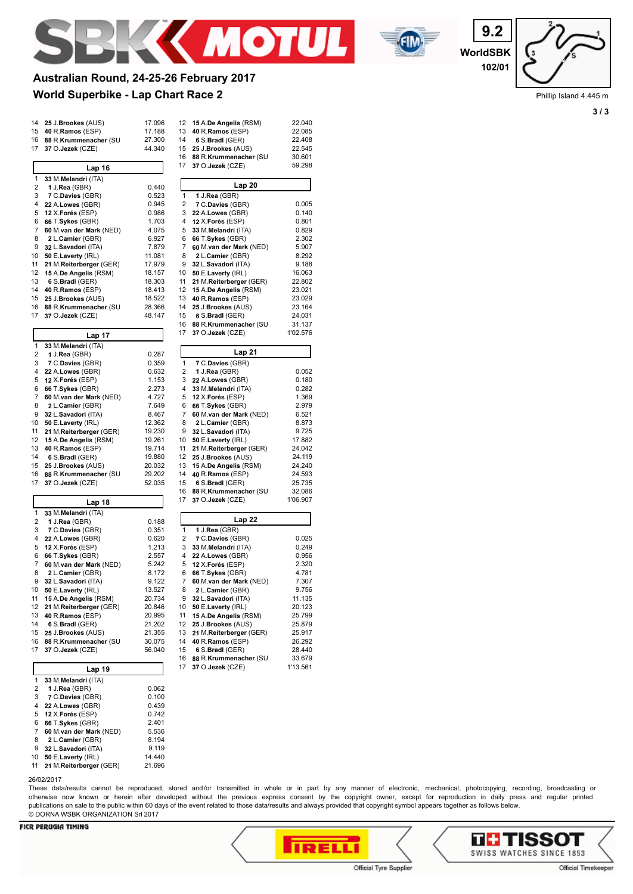



**WorldSBK 9.2 102/01**

Phillip Island 4.445 m

**3 / 3**

# **Australian Round, 24-25-26 February 2017**

## **World Superbike - Lap Chart Race 2**

| 14       | 25 J.Brookes (AUS)                            | 17.096           | 12       | 15 A.De Angelis (RSM)                            | 22.040             |
|----------|-----------------------------------------------|------------------|----------|--------------------------------------------------|--------------------|
| 15       | 40 R.Ramos (ESP)                              | 17.188           | 13       | 40 R.Ramos (ESP)                                 | 22.085             |
| 16       | 88 R.Krummenacher (SU                         | 27.300           | 14       | 6 S.Bradl (GER)                                  | 22.408             |
| 17       | 37 O.Jezek (CZE)                              | 44.340           | 15       | 25 J.Brookes (AUS)                               | 22.545             |
|          |                                               |                  | 16<br>17 | 88 R.Krummenacher (SU<br>37 O.Jezek (CZE)        | 30.601<br>59.298   |
|          | Lap 16                                        |                  |          |                                                  |                    |
| 1<br>2   | 33 M.Melandri (ITA)<br>1 J. $Rea$ (GBR)       | 0.440            |          | Lap20                                            |                    |
| 3        | 7 C.Davies (GBR)                              | 0.523            | 1        | 1 J.Rea (GBR)                                    |                    |
| 4        | 22 A.Lowes (GBR)                              | 0.945            | 2        | 7 C.Davies (GBR)                                 | 0.005              |
| 5        | 12 X.Forés (ESP)                              | 0.986            | 3        | 22 A.Lowes (GBR)                                 | 0.140              |
| 6        | 66 T.Sykes (GBR)                              | 1.703            | 4        | 12 X.Forés (ESP)                                 | 0.801              |
| 7        | 60 M.van der Mark (NED)                       | 4.075            | 5        | 33 M.Melandri (ITA)                              | 0.829              |
| 8        | 2 L.Camier (GBR)                              | 6.927            | 6        | 66 T.Sykes (GBR)                                 | 2.302              |
| 9        | 32 L.Savadori (ITA)                           | 7.879            | 7        | 60 M.van der Mark (NED)                          | 5.907              |
| 10       | 50 E.Laverty (IRL)                            | 11.081           | 8        | 2 L.Camier (GBR)                                 | 8.292              |
| 11       | 21 M.Reiterberger (GER)                       | 17.979           | 9        | 32 L.Savadori (ITA)                              | 9.188              |
| 12<br>13 | 15 A.De Angelis (RSM)                         | 18.157           | 10<br>11 | 50 E.Laverty (IRL)                               | 16.063             |
| 14       | 6 S.Bradl (GER)<br>40 R.Ramos (ESP)           | 18.303<br>18.413 | 12       | 21 M.Reiterberger (GER)<br>15 A.De Angelis (RSM) | 22.802<br>23.021   |
| 15       | 25 J.Brookes (AUS)                            | 18.522           | 13       | 40 R.Ramos (ESP)                                 | 23.029             |
| 16       | 88 R.Krummenacher (SU                         | 28.366           | 14       | 25 J.Brookes (AUS)                               | 23.164             |
| 17       | 37 O.Jezek (CZE)                              | 48.147           | 15       | 6 S.Bradl (GER)                                  | 24.031             |
|          |                                               |                  | 16       | 88 R.Krummenacher (SU                            | 31.137             |
|          | Lap 17                                        |                  | 17       | 37 O.Jezek (CZE)                                 | 1'02.576           |
| 1        | 33 M.Melandri (ITA)                           |                  |          |                                                  |                    |
| 2        | 1 J. $Rea$ (GBR)                              | 0.287            |          | Lap 21                                           |                    |
| 3        | 7 C.Davies (GBR)                              | 0.359            | 1        | 7 C.Davies (GBR)                                 |                    |
| 4        | 22 A.Lowes (GBR)                              | 0.632            | 2        | 1 J.Rea (GBR)                                    | 0.052              |
| 5        | 12 X.Forés (ESP)                              | 1.153            | 3        | 22 A.Lowes (GBR)                                 | 0.180              |
| 6        | 66 T.Sykes (GBR)                              | 2.273            | 4        | 33 M.Melandri (ITA)                              | 0.282              |
| 7        | 60 M.van der Mark (NED)                       | 4.727            | 5        | 12 X.Forés (ESP)                                 | 1.369              |
| 8        | 2 L.Camier (GBR)                              | 7.649            | 6        | 66 T.Sykes (GBR)                                 | 2.979              |
| 9<br>10  | 32 L.Savadori (ITA)                           | 8.467<br>12.362  | 7<br>8   | 60 M.van der Mark (NED)<br>2 L.Camier (GBR)      | 6.521<br>8.873     |
| 11       | 50 E.Laverty (IRL)<br>21 M.Reiterberger (GER) | 19.230           | 9        | 32 L.Savadori (ITA)                              | 9.725              |
| 12       | 15 A.De Angelis (RSM)                         | 19.261           | 10       | 50 E.Laverty (IRL)                               | 17.882             |
| 13       | 40 R.Ramos (ESP)                              | 19.714           | 11       | 21 M.Reiterberger (GER)                          | 24.042             |
| 14       | 6 S.Bradl (GER)                               | 19.880           | 12       | 25 J.Brookes (AUS)                               | 24.119             |
| 15       | 25 J.Brookes (AUS)                            | 20.032           | 13       | 15 A.De Angelis (RSM)                            | 24.240             |
| 16       | 88 R.Krummenacher (SU                         | 29.202           | 14       | 40 R.Ramos (ESP)                                 | 24.593             |
| 17       | 37 O.Jezek (CZE)                              | 52.035           | 15       | 6 S.Bradl (GER)                                  | 25.735             |
|          |                                               |                  | 16       | 88 R.Krummenacher (SU                            | 32.086             |
|          | Lap 18                                        |                  | 17       | 37 O.Jezek (CZE)                                 | 1'06.907           |
| 1        | 33 M.Melandri (ITA)                           |                  |          |                                                  |                    |
| 2        | 1 J.Rea (GBR)                                 | 0.188            |          | Lap 22                                           |                    |
| 3<br>4   | 7 C.Davies (GBR)                              | 0.351            | 1        | 1 J.Rea (GBR)                                    | 0.025              |
| 5        | 22 A.Lowes (GBR)                              | 0.620<br>1.213   | 2<br>3   | 7 C.Davies (GBR)<br>33 M.Melandri (ITA)          | 0.249              |
| 6        | 12 X.Forés (ESP)<br>66 T.Sykes (GBR)          | 2.557            | 4        | 22 A.Lowes (GBR)                                 | 0.956              |
| 7        | 60 M.van der Mark (NED)                       | 5.242            | 5        | 12 X.Forés (ESP)                                 | 2.320              |
| 8        | 2 L.Camier (GBR)                              | 8.172            | 6        | 66 T.Sykes (GBR)                                 | 4.781              |
| 9        | 32 L.Savadori (ITA)                           | 9.122            | 7        | 60 M.van der Mark (NED)                          | 7.307              |
| 10       | 50 E.Laverty (IRL)                            | 13.527           | 8        | 2 L.Camier (GBR)                                 | 9.756              |
| 11       | 15 A.De Angelis (RSM)                         | 20.734           | 9        | 32 L.Savadori (ITA)                              | 11.135             |
| 12       | 21 M.Reiterberger (GER)                       | 20.846           | 10       | 50 E.Laverty (IRL)                               | 20.123             |
| 13       | 40 R.Ramos (ESP)                              | 20.995           | 11       | 15 A.De Angelis (RSM)                            | 25.799             |
| 14       | 6 S.Bradl (GER)                               | 21.202           | 12       | 25 J.Brookes (AUS)                               | 25.879             |
| 15       | 25 J.Brookes (AUS)                            | 21.355           | 13       | 21 M.Reiterberger (GER)                          | 25.917             |
| 16       | 88 R.Krummenacher (SU                         | 30.075           | 14       | 40 R.Ramos (ESP)                                 | 26.292             |
| 17       | 37 O.Jezek (CZE)                              | 56.040           | 15       | 6 S.Bradl (GER)                                  | 28.440             |
|          |                                               |                  | 16<br>17 | 88 R.Krummenacher (SU<br>37 O.Jezek (CZE)        | 33.679<br>1'13.561 |
|          | Lap 19                                        |                  |          |                                                  |                    |
| 1<br>2   | 33 M.Melandri (ITA)<br>1 J.Rea (GBR)          | 0.062            |          |                                                  |                    |
| 3        | 7 C.Davies (GBR)                              | 0.100            |          |                                                  |                    |
|          |                                               |                  |          |                                                  |                    |

| 14 | 6 S.Bradl (GER)         | 22.408   |
|----|-------------------------|----------|
| 15 | 25 J.Brookes (AUS)      | 22.545   |
| 16 | 88 R.Krummenacher (SU   | 30.601   |
| 17 | 37 O.Jezek (CZE)        | 59.298   |
|    | Lap <sub>20</sub>       |          |
| 1  | 1 J.Rea (GBR)           |          |
| 2  | 7 C.Davies (GBR)        | 0.005    |
| 3  | 22 A.Lowes (GBR)        | 0.140    |
| 4  | 12 X.Forés (ESP)        | 0.801    |
| 5  | 33 M.Melandri (ITA)     | 0.829    |
| 6  | 66 T.Sykes (GBR)        | 2.302    |
| 7  | 60 M.van der Mark (NED) | 5.907    |
| 8  | 2 L.Camier (GBR)        | 8.292    |
| 9  | 32 L.Savadori (ITA)     | 9.188    |
| 10 | 50 E.Laverty (IRL)      | 16.063   |
| 11 | 21 M.Reiterberger (GER) | 22.802   |
| 12 | 15 A.De Angelis (RSM)   | 23.021   |
| 13 | 40 R.Ramos (ESP)        | 23.029   |
| 14 | 25 J.Brookes (AUS)      | 23.164   |
| 15 | 6 S.Bradl (GER)         | 24.031   |
| 16 | 88 R.Krummenacher (SU   | 31.137   |
| 17 | 37 O.Jezek (CZE)        |          |
|    |                         | 1'02.576 |
|    | Lap 21                  |          |
| 1  | 7 C.Davies (GBR)        |          |
| 2  | 1 J.Rea (GBR)           | 0.052    |
| 3  | 22 A.Lowes (GBR)        | 0.180    |
| 4  | 33 M.Melandri (ITA)     | 0.282    |
| 5  | 12 X.Forés (ESP)        | 1.369    |
| 6  | 66 T.Sykes (GBR)        | 2.979    |
| 7  | 60 M.van der Mark (NED) | 6.521    |
| 8  | 2 L.Camier (GBR)        | 8.873    |
| 9  | 32 L.Savadori (ITA)     | 9.725    |
| 10 | 50 E.Laverty (IRL)      | 17.882   |
| 11 | 21 M.Reiterberger (GER) | 24.042   |
| 12 | 25 J.Brookes (AUS)      | 24.119   |
| 13 | 15 A.De Angelis (RSM)   | 24.240   |
| 14 | 40 R.Ramos (ESP)        | 24.593   |
| 15 | 6 S.Bradl (GER)         | 25.735   |
| 16 | 88 R.Krummenacher (SU   | 32.086   |
| 17 | 37 O.Jezek (CZE)        | 1'06.907 |

|    | Lap 22                  |          |
|----|-------------------------|----------|
| 1  | 1 J.Rea (GBR)           |          |
| 2  | 7 C.Davies (GBR)        | 0.025    |
| 3  | 33 M.Melandri (ITA)     | 0.249    |
| 4  | 22 A.Lowes (GBR)        | 0.956    |
| 5  | 12 X.Forés (ESP)        | 2.320    |
| 6  | 66 T.Svkes (GBR)        | 4.781    |
| 7  | 60 M.van der Mark (NED) | 7.307    |
| 8  | 2 L.Camier (GBR)        | 9.756    |
| 9  | 32 L.Savadori (ITA)     | 11.135   |
| 10 | 50 E.Laverty (IRL)      | 20.123   |
| 11 | 15 A.De Angelis (RSM)   | 25.799   |
| 12 | 25 J.Brookes (AUS)      | 25.879   |
| 13 | 21 M.Reiterberger (GER) | 25.917   |
| 14 | 40 R.Ramos (ESP)        | 26.292   |
| 15 | 6 S.Bradl (GER)         | 28.440   |
| 16 | 88 R.Krummenacher (SU   | 33.679   |
| 17 | 37 O.Jezek (CZE)        | 1'13.561 |

## 26/02/2017

**21 M.Reiterberger** (GER)

 **7** C.**Davies** (GBR) 0.100 **22** A.**Lowes** (GBR) 0.439 **12** X.**Forés** (ESP) 0.742 **66** T.**Sykes** (GBR) 2.401 **60** M.**van der Mark** (NED) 5.536 **2 L.Camier** (GBR) 8.194<br>9 **32 L.Savadori** (ITA) 9.119 **32 L.Savadori** (ITA) 9.119<br>10 **50 E.Laverty** (IRL) 14.440 **50 E.Laverty** (IRL) 14.440<br>**21 M.Reiterberger** (GER) 21.696

These data/results cannot be reproduced, stored and/or transmitted in whole or in part by any manner of electronic, mechanical, photocopying, recording, broadcasting or otherwise now known or herein after developed without the previous express consent by the copyright owner, except for reproduction in daily press and regular printed publications on sale to the public within 60 days of the event related to those data/results and always provided that copyright symbol appears together as follows below. © DORNA WSBK ORGANIZATION Srl 2017



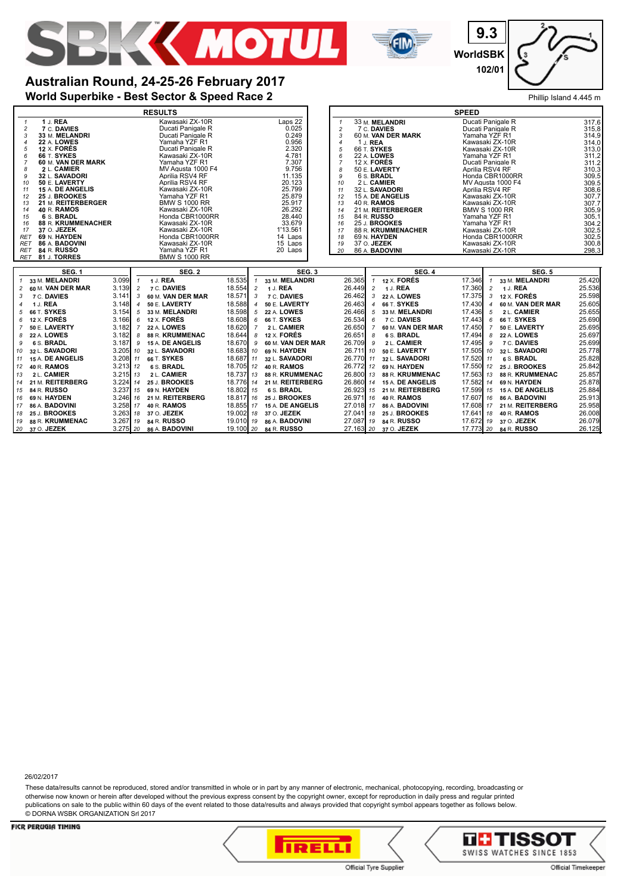



**9.3 WorldSBK 102/01**

## **World Superbike - Best Sector & Speed Race 2** Phillip Island 4.445 m **Australian Round, 24-25-26 February 2017**

|                                                           | <b>RESULTS</b>                            |                          |                               |                        |                                   | <b>SPEED</b>                            |                                      |                  |  |  |
|-----------------------------------------------------------|-------------------------------------------|--------------------------|-------------------------------|------------------------|-----------------------------------|-----------------------------------------|--------------------------------------|------------------|--|--|
| 1 J. REA<br>$\mathbf{1}$                                  | Kawasaki ZX-10R                           |                          | Laps 22                       | $\mathbf{1}$           | 33 M. MELANDRI                    | Ducati Panigale R                       |                                      | 317.6            |  |  |
| 7 C. DAVIES<br>$\overline{c}$                             | Ducati Panigale R                         |                          | 0.025                         | $\overline{2}$         | 7 C. DAVIES                       | Ducati Panigale R                       |                                      | 315.8            |  |  |
| 33 M. MELANDRI<br>3                                       | Ducati Panigale R                         |                          | 0.249                         | 3                      | 60 M. VAN DER MARK                | Yamaha YZF R1                           | 314.9<br>314.0                       |                  |  |  |
| 22 A. LOWES<br>4                                          | Yamaha YZF R1                             |                          | 0.956                         | $\boldsymbol{4}$       | 1 J. REA                          |                                         | Kawasaki ZX-10R                      |                  |  |  |
| 12 X. FORÉS<br>5<br>66 T. SYKES<br>6                      | Ducati Panigale R<br>Kawasaki ZX-10R      |                          | 2.320<br>4.781                | 5<br>6                 | 66 T. SYKES<br>22 A. LOWES        |                                         | Kawasaki ZX-10R<br>Yamaha YZF R1     |                  |  |  |
| 60 M. VAN DER MARK<br>7                                   | Yamaha YZF R1                             |                          | 7.307                         | $\overline{7}$         | 12 $\times$ FORES                 | Ducati Panigale R                       |                                      | 311,2<br>311,2   |  |  |
| 2 L. CAMIER<br>8                                          | MV Agusta 1000 F4                         |                          | 9.756                         | 8                      | 50 E. LAVERTY                     | Aprilia RSV4 RF                         |                                      | 310.3            |  |  |
| 32 L. SAVADORI<br>g                                       | Aprilia RSV4 RF                           |                          | 11.135                        | 9                      | 6 S. BRADL                        |                                         | Honda CBR1000RR                      | 309.5            |  |  |
| 50 E. LAVERTY<br>10                                       | Aprilia RSV4 RF                           |                          | 20.123                        | 10                     | 2 L. CAMIER                       |                                         | MV Agusta 1000 F4                    | 309.5            |  |  |
| 15 A. DE ANGELIS<br>11                                    | Kawasaki ZX-10R                           |                          | 25.799                        | 11                     | 32 L. <b>SAVADORI</b>             | Aprilia RSV4 RF                         |                                      | 308.6            |  |  |
| 25 J. BROOKES<br>12<br>21 M. REITERBERGER                 | Yamaha YZF R1<br><b>BMW S 1000 RR</b>     |                          | 25.879<br>25.917              | 12                     | 15 A. DE ANGELIS                  | Kawasaki ZX-10R                         |                                      | 307.7<br>307.7   |  |  |
| 13<br>40 R. RAMOS<br>14                                   | Kawasaki ZX-10R                           |                          | 26.292                        | 13<br>14               | 40 R. RAMOS<br>21 M. REITERBERGER | Kawasaki ZX-10R<br><b>BMW S 1000 RR</b> |                                      | 305.9            |  |  |
| 6 S. BRADL<br>15                                          | Honda CBR1000RR                           |                          | 28.440                        | 15                     | 84 R. RUSSO                       | Yamaha YZF R1                           |                                      | 305.1            |  |  |
| 88 R. KRUMMENACHER<br>16                                  | Kawasaki ZX-10R                           |                          | 33.679                        | 16                     | 25 J. BROOKES                     | Yamaha YZF R1                           |                                      | 304.2            |  |  |
| 37 O. JEZEK<br>17                                         | Kawasaki ZX-10R                           |                          | 1'13.561                      | 17                     | 88 R. KRUMMENACHER                | Kawasaki ZX-10R                         |                                      | 302.5            |  |  |
| 69 N. HAYDEN<br><b>RET</b>                                | Honda CBR1000RR                           |                          | 14 Laps                       | 18                     | 69 N. HAYDEN                      |                                         | Honda CBR1000RR                      | 302.5            |  |  |
| 86 A. BADOVINI<br>RET<br>84 R. RUSSO                      | Kawasaki ZX-10R<br>Yamaha YZF R1          |                          | 15 Laps<br>20 Laps            | 19                     | 37 O. JEZEK<br>86 A. BADOVINI     | Kawasaki ZX-10R                         |                                      | 300.8            |  |  |
| RET<br>81 J. TORRES<br>RET                                | <b>BMW S 1000 RR</b>                      |                          |                               | 20                     |                                   | Kawasaki ZX-10R                         |                                      | 298,3            |  |  |
|                                                           |                                           |                          |                               |                        |                                   |                                         |                                      |                  |  |  |
| <b>SEG. 1</b>                                             | <b>SEG. 2</b>                             |                          | SEG. 3                        |                        | <b>SEG. 4</b>                     |                                         | <b>SEG. 5</b>                        |                  |  |  |
| 33 M. MELANDRI<br>3.099<br>$\mathcal I$                   | 1 J. REA<br>$\mathbf{1}$                  | 18.535                   | 33 M. MELANDRI                | 26.365                 | 12 X. FORÉS<br>$\mathbf{1}$       | 17.346<br>$\mathbf{1}$                  | 33 M. MELANDRI                       | 25.420           |  |  |
| 3.139<br>60 M. VAN DER MAR<br>2                           | $\overline{2}$<br>7 C. DAVIES             | 18.554<br>$\overline{c}$ | 1 J. REA                      | 26.449                 | 1 J. REA<br>$\overline{c}$        | 17.360<br>$\overline{c}$                | 1 J. REA                             | 25.536           |  |  |
| 7 C. DAVIES<br>3.141<br>3                                 | 60 M. VAN DER MAR<br>3                    | 18.571<br>3              | 7 C. DAVIES                   | 26.462                 | 22 A. LOWES<br>3                  | 17.375<br>3                             | 12 X. FORÉS                          | 25.598           |  |  |
| 1 J. REA<br>3.148<br>4                                    | 50 E. LAVERTY<br>4                        | 18.588                   | 50 E. LAVERTY                 | 26.463                 | 66 T. SYKES<br>$\overline{4}$     | 17.430<br>$\boldsymbol{4}$              | 60 M. VAN DER MAR                    | 25.605           |  |  |
| 3.154<br><b>66 T. SYKES</b><br>5                          | 5<br>33 M. MELANDRI                       | 18.598<br>5              | <b>22 A. LOWES</b>            | 26.466                 | 5<br>33 M. MELANDRI               | 17.436<br>5                             | 2 L. CAMIER                          | 25.655           |  |  |
| 12 X. FORÉS<br>3.166<br>6                                 | <b>12 X. FORÉS</b><br>6                   | 18,608<br>6              | 66 T. SYKES                   | 26.534                 | 7 C. DAVIES<br>6                  | 17.443<br>6                             | 66 T. SYKES                          | 25.690           |  |  |
| 3.182<br>50 E. LAVERTY                                    | 22 A. LOWES<br>$\overline{7}$             | 18.620<br>7              | 2 L. CAMIER                   | 26.650                 | 60 M. VAN DER MAR<br>-7           | 17.450<br>7                             | 50 E. LAVERTY                        | 25.695           |  |  |
| 22 A. LOWES<br>3.182<br>8                                 | 88 R. KRUMMENAC<br>8                      | 18.644<br>8              | 12 X. FORÉS                   | 26.651                 | 6 S. BRADL<br>8                   | 17.494<br>8                             | 22 A. LOWES                          | 25.697           |  |  |
| 6 S. BRADL<br>3.187<br>9                                  | 15 A. DE ANGELIS<br>9                     | 18.670<br>9              | 60 M. VAN DER MAR             | 26.709                 | 2 L. CAMIER<br>9                  | 17.495<br>9                             | 7 C. DAVIES                          | 25.699           |  |  |
| 3.205<br>32 L. SAVADORI<br>10                             | 32 L. SAVADORI<br>10                      | 18.683 10                | 69 N. HAYDEN                  | 26.711 10              | 50 E. LAVERTY                     | 17.505 10                               | 32 L. SAVADORI                       | 25.778           |  |  |
| 3.208<br>15 A. DE ANGELIS<br>-11                          | 66 T. SYKES<br>11                         | 18.687 11                | 32 L. SAVADORI                | 26.770 11              | 32 L. SAVADORI                    | 17.520 11                               | 6 S. BRADL                           | 25.828           |  |  |
| $3.213$ $12$<br>40 R. RAMOS<br>12                         | 6 S. BRADL                                | 18.705 12                | 40 R. RAMOS                   | 26.772 12              | 69 N. HAYDEN                      | 17.550 12                               | 25 J. BROOKES                        | 25.842           |  |  |
| 2 L. CAMIER<br>3.215<br>13                                | 2 L. CAMIER<br>13                         | 18.737 13                | 88 R. KRUMMENAC               | 26.800 13              | 88 R. KRUMMENAC                   | 17.563 13                               | 88 R. KRUMMENAC                      | 25.857           |  |  |
| 21 M. REITERBERG<br>3.224<br>14                           | 25 J. BROOKES<br>14                       | 18.776 14                | 21 M. REITERBERG              | 26.860 14              | 15 A. DE ANGELIS                  | 17.582 14                               | 69 N. HAYDEN                         | 25.878           |  |  |
| $3.237$ $15$<br>84 R. RUSSO<br>15                         | 69 N. HAYDEN                              | 18.802 15                | 6 S. BRADL                    | 26.923 15              | 21 M. REITERBERG                  | 17.599 15                               | 15 A. DE ANGELIS                     | 25.884           |  |  |
|                                                           |                                           |                          |                               | 26.971 16              |                                   | 17.607 16                               | 86 A. BADOVINI                       | 25.913           |  |  |
| 69 N. HAYDEN<br>3.246<br>16                               | 21 M. REITERBERG<br>16                    | 18.817 16                | 25 J. BROOKES                 |                        | 40 R. RAMOS                       |                                         |                                      |                  |  |  |
| 3.258 17<br>86 A. BADOVINI<br>17                          | 40 R. RAMOS                               | 18.855 17                | 15 A. DE ANGELIS              | 27.018 17              | 86 A. BADOVINI                    | 17.608 17                               | 21 M. REITERBERG                     | 25.958           |  |  |
| 25 J. BROOKES<br>3.263<br>18                              | 37 O. JEZEK<br>18                         | 19.002 18                | 37 O. JEZEK                   | 27.041 18              | 25 J. BROOKES                     | 17.641 18                               | 40 R. RAMOS                          | 26.008           |  |  |
| 88 R. KRUMMENAC<br>3.267<br>19<br>3.275<br>20 37 O. JEZEK | 84 R. RUSSO<br>19<br>20<br>86 A. BADOVINI | 19.010 19<br>19.100 20   | 86 A. BADOVINI<br>84 R. RUSSO | 27.087 19<br>27.163 20 | 84 R. RUSSO<br>37 O. JEZEK        | 17.773 20                               | 17.672 19 37 O. JEZEK<br>84 R. RUSSO | 26.079<br>26.125 |  |  |

26/02/2017

These data/results cannot be reproduced, stored and/or transmitted in whole or in part by any manner of electronic, mechanical, photocopying, recording, broadcasting or otherwise now known or herein after developed without the previous express consent by the copyright owner, except for reproduction in daily press and regular printed publications on sale to the public within 60 days of the event related to those data/results and always provided that copyright symbol appears together as follows below. © DORNA WSBK ORGANIZATION Srl 2017



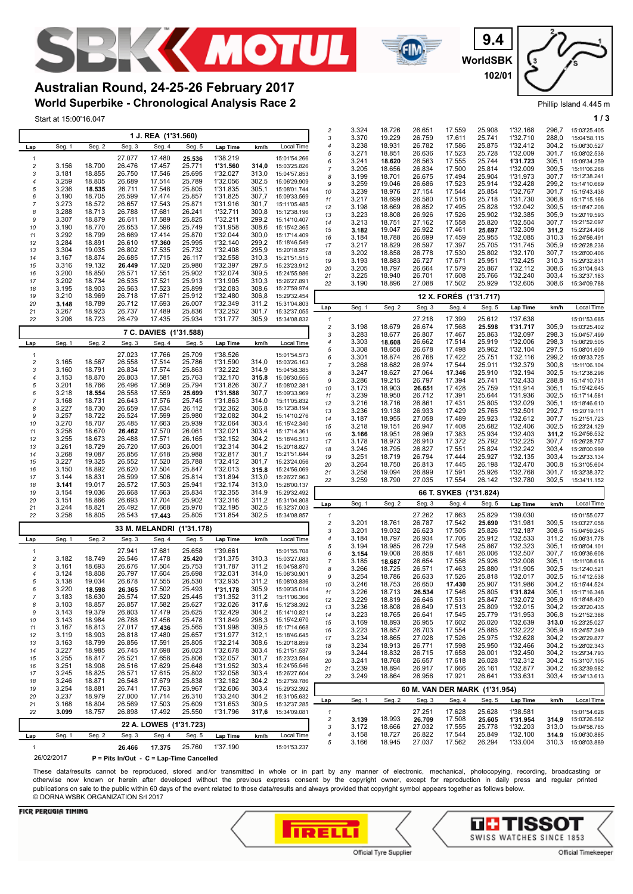



**WorldSBK 9.4 102/01**

Phillip Island 4.445 m

## **World Superbike - Chronological Analysis Race 2 Australian Round, 24-25-26 February 2017**

|                                         | Start at 15:00'16.047 |                  |                  |                        |                           |                      |                |                                    |                                         |                |                  |                  |                        |                               |                      |                | 1/3                          |
|-----------------------------------------|-----------------------|------------------|------------------|------------------------|---------------------------|----------------------|----------------|------------------------------------|-----------------------------------------|----------------|------------------|------------------|------------------------|-------------------------------|----------------------|----------------|------------------------------|
|                                         |                       |                  |                  |                        |                           |                      |                |                                    | $\overline{c}$                          | 3.324          | 18.726           | 26.651           | 17.559                 | 25.908                        | 1'32.168             | 296,7          | 15:03'25.405                 |
|                                         |                       |                  | Seg. 3           | 1 J. REA (1'31.560)    |                           |                      |                |                                    | 3<br>4                                  | 3.370<br>3.238 | 19.229<br>18.931 | 26.759<br>26.782 | 17.611<br>17.586       | 25.741<br>25.875              | 1'32.710<br>1'32.412 | 288.0<br>304,2 | 15:04'58.115<br>15:06'30.527 |
| Lap                                     | Seg. 1                | Seg. 2           |                  | Seg. 4                 | Seg. 5                    | Lap Time             | km/h           | Local Time                         | 5                                       | 3.271          | 18.851           | 26.636           | 17.523                 | 25.728                        | 1'32.009             | 301,7          | 15:08'02.536                 |
| $\mathbf{1}$<br>$\overline{\mathbf{c}}$ | 3.156                 | 18.700           | 27.077<br>26.476 | 17.480<br>17.457       | 25.536<br>25.771          | 1'38.219<br>1'31.560 | 314.0          | 15:01'54.266<br>15:03'25.826       | 6                                       | 3.241          | 18.620           | 26.563           | 17.555                 | 25.744                        | 1'31.723             | 305,1          | 15:09'34.259                 |
| 3                                       | 3.181                 | 18.855           | 26.750           | 17.546                 | 25.695                    | 1'32.027             | 313,0          | 15:04'57.853                       | $\overline{7}$<br>8                     | 3.205<br>3.199 | 18.656<br>18.701 | 26.834<br>26.675 | 17.500<br>17.494       | 25.814<br>25.904              | 1'32.009<br>1'31.973 | 309,5<br>307.7 | 15:11'06.268<br>15:12'38.241 |
| $\overline{4}$                          | 3.259                 | 18.805           | 26.689           | 17.514                 | 25.789                    | 1'32.056             | 302,5          | 15:06'29.909                       | 9                                       | 3.259          | 19.046           | 26.686           | 17.523                 | 25.914                        | 1'32.428             | 299,2          | 15:14'10.669                 |
| 5<br>6                                  | 3.236<br>3.190        | 18.535<br>18.705 | 26.711<br>26.599 | 17.548<br>17.474       | 25.805<br>25.857          | 1'31.835<br>1'31.825 | 305,1<br>307,7 | 15:08'01.744<br>15:09'33.569       | 10                                      | 3.239          | 18.976           | 27.154           | 17.544                 | 25.854                        | 1'32.767             | 301,7          | 15:15'43.436                 |
|                                         | 3.273                 | 18.572           | 26.657           | 17.543                 | 25.871                    | 1'31.916             | 301.7          | 15:11'05.485                       | 11<br>12                                | 3.217<br>3.198 | 18.699<br>18.669 | 26.580<br>26.852 | 17.516<br>17.495       | 25.718<br>25.828              | 1'31.730<br>1'32.042 | 306,8<br>309,5 | 15:17'15.166<br>15:18'47.208 |
| 8                                       | 3.288                 | 18.713           | 26.788           | 17.681                 | 26.241                    | 1'32.711             | 300,8          | 15:12'38.196                       | 13                                      | 3.223          | 18.808           | 26.926           | 17.526                 | 25.902                        | 1'32.385             | 305.9          | 15:20'19.593                 |
| 9<br>10                                 | 3.307<br>3.190        | 18.879<br>18.770 | 26.611<br>26.653 | 17.589<br>17.596       | 25.825<br>25.749          | 1'32.211<br>1'31.958 | 299,2<br>308,6 | 15:14'10.407<br>15:15'42.365       | 14                                      | 3.213          | 18.751           | 27.162           | 17.558                 | 25.820                        | 1'32.504             | 307,7          | 15:21'52.097                 |
| 11                                      | 3.292                 | 18.799           | 26.669           | 17.414                 | 25.870                    | 1'32.044             | 300,0          | 15:17'14.409                       | 15<br>16                                | 3.182<br>3.184 | 19.047<br>18.788 | 26.922<br>26.699 | 17.461<br>17.459       | 25.697<br>25.955              | 1'32.309<br>1'32.085 | 311.2<br>310,3 | 15:23'24.406<br>15:24'56.491 |
| 12                                      | 3.284                 | 18.891           | 26.610           | 17.360                 | 25.995                    | 1'32.140             | 299.2          | 15:18'46.549                       | 17                                      | 3.217          | 18.829           | 26.597           | 17.397                 | 25.705                        | 1'31.745             | 305,9          | 15:26'28.236                 |
| 13<br>14                                | 3.304<br>3.167        | 19.035<br>18.874 | 26.802<br>26.685 | 17.535<br>17.715       | 25.732<br>26.117          | 1'32.408<br>1'32.558 | 295,9<br>310,3 | 15:20'18.957<br>15:21'51.515       | 18                                      | 3.202          | 18.858           | 26.778           | 17.530                 | 25.802                        | 1'32.170             | 307.7          | 15:28'00.406                 |
| 15                                      | 3.316                 | 19.132           | 26.449           | 17.520                 | 25.980                    | 1'32.397             | 297,5          | 15:23'23.912                       | 19<br>20                                | 3.193<br>3.205 | 18.883<br>18.797 | 26.727<br>26.664 | 17.671<br>17.579       | 25.951<br>25.867              | 1'32.425<br>1'32.112 | 310,3<br>308,6 | 15:29'32.831<br>15:31'04.943 |
| 16                                      | 3.200                 | 18.850           | 26.571           | 17.551                 | 25.902                    | 1'32.074             | 309,5          | 15:24'55.986                       | 21                                      | 3.225          | 18.940           | 26.701           | 17.608                 | 25.766                        | 1'32.240             | 303,4          | 15:32'37.183                 |
| 17<br>18                                | 3.202<br>3.195        | 18.734<br>18.903 | 26.535<br>26.563 | 17.521<br>17.523       | 25.913<br>25.899          | 1'31.905<br>1'32.083 | 310.3<br>308,6 | 15:26'27.891<br>15:27'59.974       | 22                                      | 3.190          | 18.896           | 27.088           | 17.502                 | 25.929                        | 1'32.605             | 308,6          | 15:34'09.788                 |
| 19                                      | 3.210                 | 18.969           | 26.718           | 17.671                 | 25.912                    | 1'32.480             | 306,8          | 15:29'32.454                       |                                         |                |                  |                  | 12 X. FORES (1'31.717) |                               |                      |                |                              |
| 20                                      | 3.148                 | 18.789           | 26.712           | 17.693                 | 26.007                    | 1'32.349             | 311,2          | 15:31'04.803                       | Lap                                     | Seg. 1         | Seg. 2           | Seg. 3           | Seg. 4                 | Seg. 5                        | <b>Lap Time</b>      | km/h           | Local Time                   |
| 21<br>22                                | 3.267<br>3.206        | 18.923<br>18.723 | 26.737<br>26.479 | 17.489<br>17.435       | 25.836<br>25.934          | 1'32.252<br>1'31.777 | 301,7<br>305.9 | 15:32'37.055<br>15:34'08.832       | $\mathbf{1}$                            |                |                  | 27.218           | 17.399                 | 25.612                        | 1'37.638             |                | 15:01'53.685                 |
|                                         |                       |                  |                  |                        |                           |                      |                |                                    | $\overline{c}$                          | 3.198          | 18.679           | 26.674           | 17.568                 | 25.598                        | 1'31.717             | 305,9          | 15:03'25.402                 |
|                                         |                       |                  |                  | 7 C. DAVIES (1'31.588) |                           |                      |                |                                    | 3                                       | 3.283          | 18.677           | 26.807           | 17.467                 | 25.863                        | 1'32.097             | 298,3          | 15:04'57.499                 |
| Lap                                     | Seg. 1                | Seg. 2           | Seg. 3           | Seg. 4                 | Seg. 5                    | Lap Time             | km/h           | Local Time                         | 4<br>5                                  | 3.303<br>3.308 | 18.608<br>18.658 | 26.662<br>26.678 | 17.514<br>17.498       | 25.919<br>25.962              | 1'32.006<br>1'32.104 | 298,3<br>297,5 | 15:06'29.505<br>15:08'01.609 |
| 1                                       |                       |                  | 27.023           | 17.766                 | 25.709                    | 1'38.526             |                | 15:01'54.573                       | 6                                       | 3.301          | 18.874           | 26.768           | 17.422                 | 25.751                        | 1'32.116             | 299.2          | 15:09'33.725                 |
| 2<br>3                                  | 3.165<br>3.160        | 18.567<br>18.791 | 26.558<br>26.834 | 17.514<br>17.574       | 25.786<br>25.863          | 1'31.590<br>1'32.222 | 314,0<br>314,9 | 15:03'26.163<br>15:04'58.385       | 7                                       | 3.268          | 18.682           | 26.974           | 17.544                 | 25.911                        | 1'32.379             | 300,8          | 15:11'06.104                 |
| $\overline{\mathcal{A}}$                | 3.153                 | 18.870           | 26.803           | 17.581                 | 25.763                    | 1'32.170             | 315.8          | 15:06'30.555                       | 8<br>9                                  | 3.247<br>3.286 | 18.627<br>19.215 | 27.064<br>26.797 | 17.346<br>17.394       | 25.910<br>25.741              | 1'32.194<br>1'32.433 | 302,5<br>288,8 | 15:12'38.298<br>15:14'10.731 |
| 5                                       | 3.201                 | 18.766           | 26.496           | 17.569                 | 25.794                    | 1'31.826             | 307.7          | 15:08'02.381                       | 10                                      | 3.173          | 18.903           | 26.651           | 17.428                 | 25.759                        | 1'31.914             | 305,1          | 15:15'42.645                 |
| 6<br>7                                  | 3.218<br>3.168        | 18.554<br>18.731 | 26.558<br>26.643 | 17.559<br>17.576       | 25.699<br>25.745          | 1'31.588<br>1'31.863 | 307,7<br>314,0 | 15:09'33.969<br>15:11'05.832       | 11                                      | 3.239          | 18.950           | 26.712           | 17.391                 | 25.644                        | 1'31.936             | 302.5          | 15:17'14.581                 |
| 8                                       | 3.227                 | 18.730           | 26.659           | 17.634                 | 26.112                    | 1'32.362             | 306,8          | 15:12'38.194                       | 12<br>13                                | 3.216<br>3.236 | 18.716<br>19.138 | 26.861<br>26.933 | 17.431<br>17.429       | 25.805<br>25.765              | 1'32.029<br>1'32.501 | 305,1<br>292,7 | 15:18'46.610<br>15:20'19.111 |
| 9                                       | 3.257                 | 18.722           | 26.524           | 17.599                 | 25.980                    | 1'32.082             | 304,2          | 15:14'10.276                       | 14                                      | 3.187          | 18.955           | 27.058           | 17.489                 | 25.923                        | 1'32.612             | 307,7          | 15:21'51.723                 |
| 10<br>11                                | 3.270<br>3.258        | 18.707<br>18.670 | 26.485<br>26.462 | 17.663<br>17.570       | 25.939<br>26.061          | 1'32.064<br>1'32.021 | 303.4<br>303,4 | 15:15'42.340<br>15:17'14.361       | 15                                      | 3.218          | 19.151           | 26.947           | 17.408                 | 25.682                        | 1'32.406             | 302,5          | 15:23'24.129                 |
| 12                                      | 3.255                 | 18.673           | 26.488           | 17.571                 | 26.165                    | 1'32.152             | 304,2          | 15:18'46.513                       | 16<br>17                                | 3.166<br>3.178 | 18.951<br>18.973 | 26.969<br>26.910 | 17.383<br>17.372       | 25.934<br>25.792              | 1'32.403<br>1'32.225 | 311.2<br>307,7 | 15:24'56.532<br>15:26'28.757 |
| 13                                      | 3.261                 | 18.729           | 26.720           | 17.603                 | 26.001                    | 1'32.314             | 304,2          | 15:20'18.827                       | 18                                      | 3.245          | 18.795           | 26.827           | 17.551                 | 25.824                        | 1'32.242             | 303,4          | 15:28'00.999                 |
| 14<br>15                                | 3.268<br>3.227        | 19.087<br>19.325 | 26.856<br>26.552 | 17.618<br>17.520       | 25.988<br>25.788          | 1'32.817<br>1'32.412 | 301.7<br>301.7 | 15:21'51.644<br>15:23'24.056       | 19                                      | 3.251          | 18.719           | 26.794           | 17.444                 | 25.927                        | 1'32.135             | 303,4          | 15:29'33.134                 |
| 16                                      | 3.150                 | 18.892           | 26.620           | 17.504                 | 25.847                    | 1'32.013             | 315,8          | 15:24'56.069                       | 20<br>21                                | 3.264<br>3.258 | 18.750<br>19.094 | 26.813<br>26.899 | 17.445<br>17.591       | 26.198<br>25.926              | 1'32.470<br>1'32.768 | 300.8<br>301.7 | 15:31'05.604<br>15:32'38.372 |
| 17                                      | 3.144                 | 18.831           | 26.599           | 17.506                 | 25.814                    | 1'31.894             | 313,0          | 15:26'27.963                       | 22                                      | 3.259          | 18.790           | 27.035           | 17.554                 | 26.142                        | 1'32.780             | 302,5          | 15:34'11.152                 |
| 18<br>19                                | 3.141<br>3.154        | 19.017<br>19.036 | 26.572<br>26.668 | 17.503<br>17.663       | 25.941<br>25.834          | 1'32.174<br>1'32.355 | 313,0<br>314.9 | 15:28'00.137<br>15:29'32.492       |                                         |                |                  |                  | 66 T. SYKES (1'31.824) |                               |                      |                |                              |
| 20                                      | 3.151                 | 18.866           | 26.693           | 17.704                 | 25.902                    | 1'32.316             | 311.2          | 15:31'04.808                       | Lap                                     | Seg. 1         | Seg. 2           | Seg. 3           | Seg. 4                 | Seg. 5                        | <b>Lap Time</b>      | km/h           | Local Time                   |
| 21                                      | 3.244                 | 18.821           | 26.492           | 17.668                 | 25.970                    | 1'32.195             | 302,5<br>302,5 | 15:32'37.003                       |                                         |                |                  |                  |                        |                               |                      |                |                              |
| 22                                      | 3.258                 | 18.805           | 26.543           | 17.443                 | 25.805                    | 1'31.854             |                | 15:34'08.857                       | $\mathbf{1}$<br>$\overline{c}$          | 3.201          | 18.761           | 27.262<br>26.787 | 17.663<br>17.542       | 25.829<br>25.690              | 1'39.030<br>1'31.981 | 309,5          | 15:01'55.077<br>15:03'27.058 |
|                                         |                       |                  |                  |                        | 33 M. MELANDRI (1'31.178) |                      |                |                                    | 3                                       | 3.201          | 19.032           | 26.623           | 17.505                 | 25.826                        | 1'32.187             | 308.6          | 15:04'59.245                 |
| Lap                                     | Seg. 1                | Seg. 2           | Seg. 3           | Seg. 4                 | Seg. 5                    | <b>Lap Time</b>      | km/h           | Local Time                         | 4<br>5                                  | 3.184<br>3.194 | 18.797<br>18.985 | 26.934<br>26.729 | 17.706<br>17.548       | 25.912<br>25.867              | 1'32.533<br>1'32.323 | 311,2<br>305,1 | 15:06'31.778<br>15:08'04.101 |
| $\mathbf{1}$                            |                       |                  | 27.941           | 17.681                 | 25.658                    | 1'39.661             |                | 15:01'55.708                       | 6                                       | 3.154          | 19.008           | 26.858           | 17.481                 | 26.006                        | 1'32.507             | 307,7          | 15:09'36.608                 |
| $\sqrt{2}$<br>3                         | 3.182<br>3.161        | 18.749<br>18.693 | 26.546<br>26.676 | 17.478<br>17.504       | 25.420<br>25.753          | 1'31.375<br>1'31.787 | 310.3<br>311,2 | 15:03'27.083<br>15:04'58.870       | 7                                       | 3.185          | 18.687           | 26.654           | 17.556                 | 25.926                        | 1'32.008             | 305,1          | 15:11'08.616                 |
| 4                                       | 3.124                 | 18.808           | 26.797           | 17.604                 | 25.698                    | 1'32.031             | 314,0          | 15:06'30.901                       | 8<br>g                                  | 3.266<br>3.254 | 18.725<br>18.786 | 26.571<br>26.633 | 17.463<br>17.526       | 25.880<br>25.818              | 1'31.905<br>1'32.017 | 302.5<br>302,5 | 15:12'40.521<br>15:14'12.538 |
| 5                                       | 3.138                 | 19.034           | 26.678           | 17.555                 | 26.530                    | 1'32.935             | 311,2          | 15:08'03.836                       | 10                                      | 3.246          | 18.753           | 26.650           | 17.430                 | 25.907                        | 1'31.986             | 304,2          | 15:15'44.524                 |
| $\overline{7}$                          | 3.220<br>3.183        | 18.598<br>18.630 | 26.365<br>26.574 | 17.502<br>17.520       | 25.493<br>25.445          | 1'31.178<br>1'31.352 | 305,9          | 15:09'35.014<br>311.2 15:11'06.366 | 11                                      | 3.226          | 18.713           | 26.534           | 17.546                 | 25.805                        | 1'31.824             | 305,1          | 15:17'16.348                 |
| 8                                       | 3.103                 | 18.857           | 26.857           | 17.582                 | 25.627                    | 1'32.026             |                | 317,6 15:12'38.392                 | 12<br>13                                | 3.229<br>3.236 | 18.819<br>18.808 | 26.646<br>26.649 | 17.531<br>17.513       | 25.847<br>25.809              | 1'32.072<br>1'32.015 | 305,9<br>304.2 | 15:18'48.420<br>15:20'20.435 |
| 9                                       | 3.143                 | 19.379           | 26.803           | 17.479                 | 25.625                    | 1'32.429             |                | 304,2 15:14'10.821                 | 14                                      | 3.223          | 18.765           | 26.641           | 17.545                 | 25.779                        | 1'31.953             | 306,8          | 15:21'52.388                 |
| 10<br>11                                | 3.143<br>3.167        | 18.984<br>18.813 | 26.788<br>27.017 | 17.456<br>17.436       | 25.478<br>25.565          | 1'31.849<br>1'31.998 | 298,3<br>309,5 | 15:15'42.670<br>15:17'14.668       | 15                                      | 3.169          | 18.893           | 26.955           | 17.602                 | 26.020                        | 1'32.639             | 313,0          | 15:23'25.027                 |
| 12                                      | 3.119                 | 18.903           | 26.818           | 17.480                 | 25.657                    | 1'31.977             | 312.1          | 15:18'46.645                       | 16<br>17                                | 3.223<br>3.234 | 18.857<br>18.865 | 26.703<br>27.028 | 17.554<br>17.526       | 25.885<br>25.975              | 1'32.222<br>1'32.628 | 305,9<br>304,2 | 15:24'57.249<br>15:26'29.877 |
| 13                                      | 3.163                 | 18.799           | 26.856           | 17.591                 | 25.805                    | 1'32.214             | 308,6          | 15:20'18.859                       | 18                                      | 3.234          | 18.913           | 26.771           | 17.598                 | 25.950                        | 1'32.466             | 304.2          | 15:28'02.343                 |
| 14<br>15                                | 3.227<br>3.255        | 18.985<br>18.817 | 26.745<br>26.521 | 17.698<br>17.658       | 26.023<br>25.806          | 1'32.678<br>1'32.057 | 303,4          | 15:21'51.537<br>301,7 15:23'23.594 | 19                                      | 3.244          | 18.832           | 26.715           | 17.658                 | 26.001                        | 1'32.450             | 304,2          | 15:29'34.793                 |
| 16                                      | 3.251                 | 18.908           | 26.516           | 17.629                 | 25.648                    | 1'31.952             | 303,4          | 15:24'55.546                       | 20<br>21                                | 3.241<br>3.239 | 18.768<br>18.894 | 26.657<br>26.917 | 17.618<br>17.666       | 26.028<br>26.161              | 1'32.312<br>1'32.877 | 304,2<br>304,2 | 15:31'07.105<br>15:32'39.982 |
| 17                                      | 3.245                 | 18.825           | 26.571           | 17.615                 | 25.802                    | 1'32.058             | 303.4          | 15:26'27.604                       | 22                                      | 3.249          | 18.864           | 26.956           | 17.921                 | 26.641                        | 1'33.631             | 303,4          | 15:34'13.613                 |
| 18<br>19                                | 3.246<br>3.254        | 18.871<br>18.881 | 26.548<br>26.741 | 17.679<br>17.763       | 25.838<br>25.967          | 1'32.182<br>1'32.606 | 304,2<br>303,4 | 15:27'59.786<br>15:29'32.392       |                                         |                |                  |                  |                        |                               |                      |                |                              |
| 20                                      | 3.237                 | 18.979           | 27.000           | 17.714                 | 26.310                    | 1'33.240             | 304,2          | 15:31'05.632                       |                                         |                |                  |                  |                        | 60 M. VAN DER MARK (1'31.954) |                      |                |                              |
| 21                                      | 3.168                 | 18.804           | 26.569           | 17.503                 | 25.609                    | 1'31.653             | 309,5          | 15:32'37.285                       | Lap                                     | Seg. 1         | Seg. 2           | Seg. 3           | Seg. 4                 | Seg. 5                        | Lap Time             | km/h           | Local Time                   |
| 22                                      | 3.099                 | 18.757           | 26.898           | 17.492                 | 25.550                    | 1'31.796             | 317.6          | 15:34'09.081                       | $\mathbf{1}$<br>$\overline{\mathbf{c}}$ | 3.139          | 18.993           | 27.251<br>26.709 | 17.628<br>17.508       | 25.628<br>25.605              | 1'38.581<br>1'31.954 | 314,9          | 15:01'54.628<br>15:03'26.582 |
|                                         |                       |                  |                  | 22 A. LOWES (1'31.723) |                           |                      |                |                                    | 3                                       | 3.172          | 18.666           | 27.032           | 17.555                 | 25.778                        | 1'32.203             | 313,0          | 15:04'58.785                 |
| Lap                                     | Seg. 1                | Seg. 2           | Seg. 3           | Seg. 4                 | Seg. 5                    | Lap Time             | km/h           | Local Time                         | 4                                       | 3.158          | 18.727           | 26.822           | 17.544                 | 25.849                        | 1'32.100             | 314.9          | 15:06'30.885                 |
| $\mathbf{1}$                            |                       |                  | 26.466           | 17.375                 | 25.760                    | 1'37.190             |                | 15:01'53.237                       | 5                                       | 3.166          | 18.945           | 27.037           | 17.562                 | 26.294                        | 1'33.004             | 310,3          | 15:08'03.889                 |

26/02/2017 **P = Pits In/Out - C = Lap-Time Cancelled**

These data/results cannot be reproduced, stored and/or transmitted in whole or in part by any manner of electronic, mechanical, photocopying, recording, broadcasting or otherwise now known or herein after developed without the previous express consent by the copyright owner, except for reproduction in daily press and regular printed publications on sale to the public within 60 days of the event related to those data/results and always provided that copyright symbol appears together as follows below. © DORNA WSBK ORGANIZATION Srl 2017

### **FICR PERUGIA TIMING**





Official Timekeeper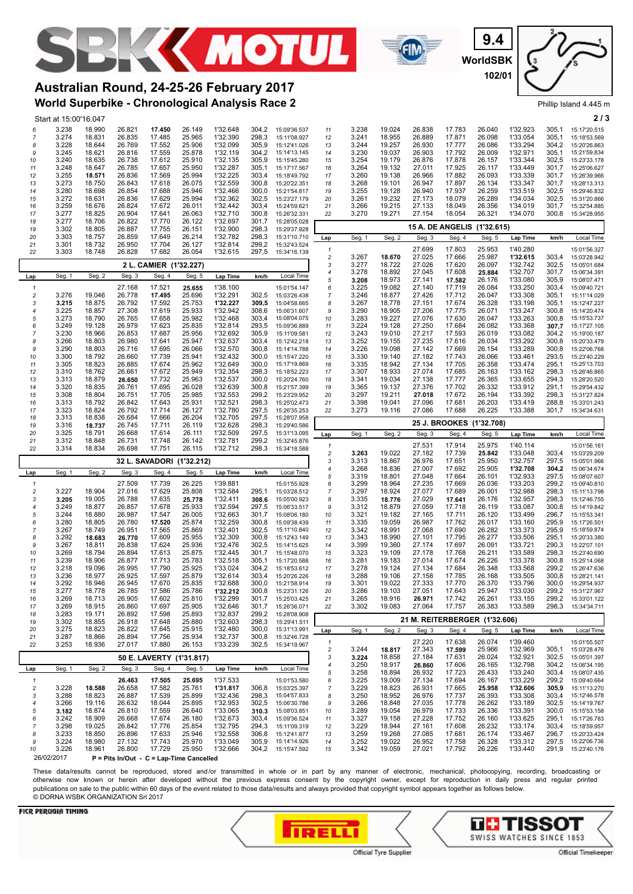





## **World Superbike - Chronological Analysis Race 2 Australian Round, 24-25-26 February 2017**

|                              | Start at 15:00'16.047 |                  |                  |                        |                                          |                      |                |                                          |                         |                |                  |                  |                      |                               |                      |                | 213                          |
|------------------------------|-----------------------|------------------|------------------|------------------------|------------------------------------------|----------------------|----------------|------------------------------------------|-------------------------|----------------|------------------|------------------|----------------------|-------------------------------|----------------------|----------------|------------------------------|
| 6                            | 3.238                 | 18.990           | 26.821           | 17.450                 | 26.149                                   | 1'32.648             | 304,2          | 15:09'36.537                             | 11                      | 3.238          | 19.024           | 26.838           | 17.783               | 26.040                        | 1'32.923             | 305,1          | 15:17'20.515                 |
| 7                            | 3.274                 | 18.831           | 26.835           | 17.485                 | 25.965                                   | 1'32.390             | 298,3          | 15:11'08.927                             | 12                      | 3.241          | 18.955           | 26.889           | 17.871               | 26.098                        | 1'33.054             | 305,1          | 15:18'53.569                 |
| 8<br>9                       | 3.228                 | 18.644<br>18.621 | 26.769<br>26.816 | 17.552<br>17.559       | 25.906<br>25.878                         | 1'32.099<br>1'32.119 | 305.9<br>304,2 | 15:12'41.026<br>15:14'13.145             | 13                      | 3.244<br>3.230 | 19.257<br>19.037 | 26.930<br>26.903 | 17.777<br>17.792     | 26.086<br>26.009              | 1'33.294<br>1'32.971 | 304.2<br>305,1 | 15:20'26.863<br>15:21'59.834 |
| 10                           | 3.245<br>3.240        | 18.635           | 26.738           | 17.612                 | 25.910                                   | 1'32.135             | 305,9          | 15:15'45.280                             | 14<br>15                | 3.254          | 19.179           | 26.876           | 17.878               | 26.157                        | 1'33.344             | 302,5          | 15:23'33.178                 |
| 11                           | 3.248                 | 18.647           | 26.785           | 17.657                 | 25.950                                   | 1'32.287             | 305,1          | 15:17'17.567                             | 16                      | 3.264          | 19.132           | 27.011           | 17.925               | 26.117                        | 1'33.449             | 301,7          | 15:25'06.627                 |
| 12                           | 3.255                 | 18.571           | 26.836           | 17.569                 | 25.994                                   | 1'32.225             | 303,4          | 15:18'49.792                             | 17                      | 3.260          | 19.138           | 26.966           | 17.882               | 26.093                        | 1'33.339             | 301,7          | 15:26'39.966                 |
| 13                           | 3.273                 | 18.750           | 26.843           | 17.618                 | 26.075                                   | 1'32.559             | 300.8          | 15:20'22.351                             | 18                      | 3.268          | 19.101           | 26.947           | 17.897               | 26.134                        | 1'33.347             | 301.7          | 15:28'13.313                 |
| 14<br>15                     | 3.280<br>3.272        | 18.698<br>18.631 | 26.854<br>26.836 | 17.688<br>17.629       | 25.946<br>25.994                         | 1'32.466<br>1'32.362 | 300,0<br>302,5 | 15:21'54.817<br>15:23'27.179             | 19<br>20                | 3.255<br>3.261 | 19.128<br>19.232 | 26.940<br>27.173 | 17.937<br>18.079     | 26.259<br>26.289              | 1'33.519<br>1'34.034 | 302,5<br>302,5 | 15:29'46.832<br>15:31'20.866 |
| 16                           | 3.259                 | 18.676           | 26.824           | 17.672                 | 26.011                                   | 1'32.442             | 303,4          | 15:24'59.621                             | 21                      | 3.266          | 19.215           | 27.133           | 18.049               | 26.356                        | 1'34.019             | 301,7          | 15:32'54.885                 |
| 17                           | 3.277                 | 18.825           | 26.904           | 17.641                 | 26.063                                   | 1'32.710             | 300,8          | 15:26'32.331                             | 22                      | 3.270          | 19.271           | 27.154           | 18.054               | 26.321                        | 1'34.070             | 300,8          | 15:34'28.955                 |
| 18                           | 3.277                 | 18.706           | 26.822           | 17.770<br>17.755       | 26.122                                   | 1'32.697<br>1'32.900 | 301.7<br>298,3 | 15:28'05.028                             |                         |                |                  |                  | 15 A. DE ANGELIS     | (1'32.615)                    |                      |                |                              |
| 19<br>20                     | 3.302<br>3.303        | 18.805<br>18.757 | 26.887<br>26.859 | 17.649                 | 26.151<br>26.214                         | 1'32.782             | 298,3          | 15:29'37.928<br>15:31'10.710             | Lap                     | Seg. 1         | Seg. 2           | Seg. 3           | Seg. 4               | Seg. 5                        | <b>Lap Time</b>      | km/h           | <b>Local Time</b>            |
| 21                           | 3.301                 | 18.732           | 26.950           | 17.704                 | 26.127                                   | 1'32.814             | 299,2          | 15:32'43.524                             |                         |                |                  |                  |                      |                               |                      |                |                              |
| 22                           | 3.303                 | 18.748           | 26.828           | 17.682                 | 26.054                                   | 1'32.615             | 297,5          | 15:34'16.139                             | 1<br>2                  | 3.267          | 18.670           | 27.699<br>27.025 | 17.803<br>17.666     | 25.953<br>25.987              | 1'40.280<br>1'32.615 | 303,4          | 15:01'56.327<br>15:03'28.942 |
|                              |                       |                  |                  | 2 L. CAMIER (1'32.227) |                                          |                      |                |                                          | 3                       | 3.277          | 18.722           | 27.026           | 17.620               | 26.097                        | 1'32.742             | 302,5          | 15:05'01.684                 |
| Lap                          | Seg. 1                | Seg. 2           | Seg. 3           | Seg. 4                 | Seg. 5                                   | Lap Time             | km/h           | Local Time                               | $\overline{4}$          | 3.278          | 18.892           | 27.045           | 17.608               | 25.884                        | 1'32.707             | 301,7          | 15:06'34.391                 |
|                              |                       |                  | 27.168           | 17.521                 | 25.655                                   | 1'38.100             |                |                                          | 5                       | 3.208<br>3.225 | 18.973<br>19.082 | 27.141<br>27.140 | 17.582<br>17.719     | 26.176<br>26.084              | 1'33.080<br>1'33.250 | 305.9<br>303.4 | 15:08'07.471<br>15:09'40.721 |
| 1<br>$\overline{\mathbf{c}}$ | 3.276                 | 19.046           | 26.778           | 17.495                 | 25.696                                   | 1'32.291             | 302,5          | 15:01'54.147<br>15:03'26.438             | 6<br>$\overline{7}$     | 3.246          | 18.877           | 27.426           | 17.712               | 26.047                        | 1'33.308             | 305,1          | 15:11'14.029                 |
| 3                            | 3.215                 | 18.875           | 26.792           | 17.592                 | 25.753                                   | 1'32.227             | 309.5          | 15:04'58.665                             | 8                       | 3.267          | 18.778           | 27.151           | 17.674               | 26.328                        | 1'33.198             | 305,1          | 15:12'47.227                 |
| 4                            | 3.225                 | 18.857           | 27.308           | 17.619                 | 25.933                                   | 1'32.942             | 308,6          | 15:06'31.607                             | 9                       | 3.290          | 18.905           | 27.206           | 17.775               | 26.071                        | 1'33.247             | 300,8          | 15:14'20.474                 |
| 5<br>6                       | 3.273<br>3.249        | 18.790<br>19.128 | 26.765<br>26.979 | 17.658<br>17.623       | 25.982<br>25.835                         | 1'32.468<br>1'32.814 | 303.4<br>293.5 | 15:08'04.075<br>15:09'36.889             | 10<br>11                | 3.283<br>3.224 | 19.227<br>19.128 | 27.076<br>27.250 | 17.630<br>17.684     | 26.047<br>26.082              | 1'33.263<br>1'33.368 | 300.8<br>307.7 | 15:15'53.737<br>15:17'27.105 |
| 7                            | 3.230                 | 18.966           | 26.853           | 17.687                 | 25.956                                   | 1'32.692             | 305,9          | 15:11'09.581                             | 12                      | 3.243          | 19.010           | 27.217           | 17.593               | 26.019                        | 1'33.082             | 304,2          | 15:19'00.187                 |
| 8                            | 3.266                 | 18.803           | 26.980           | 17.641                 | 25.947                                   | 1'32.637             | 303,4          | 15:12'42.218                             | 13                      | 3.252          | 19.155           | 27.235           | 17.616               | 26.034                        | 1'33.292             | 300,8          | 15:20'33.479                 |
| 9                            | 3.290                 | 18.803           | 26.716           | 17.695                 | 26.066                                   | 1'32.570             | 300,8          | 15:14'14.788                             | 14                      | 3.226          | 19.098           | 27.142           | 17.669               | 26.154                        | 1'33.289             | 300,8          | 15:22'06.768                 |
| 10                           | 3.300<br>3.305        | 18.792<br>18.823 | 26.660<br>26.885 | 17.739<br>17.674       | 25.941<br>25.962                         | 1'32.432<br>1'32.649 | 300.0<br>300,0 | 15:15'47.220<br>15:17'19.869             | 15                      | 3.330<br>3.335 | 19.140<br>18.942 | 27.182<br>27.134 | 17.743<br>17.705     | 26.066<br>26.358              | 1'33.461<br>1'33.474 | 293.5<br>295,1 | 15:23'40.229<br>15:25'13.703 |
| 11<br>12                     | 3.310                 | 18.762           | 26.661           | 17.672                 | 25.949                                   | 1'32.354             | 298,3          | 15:18'52.223                             | 16<br>17                | 3.307          | 18.933           | 27.074           | 17.685               | 26.163                        | 1'33.162             | 298,3          | 15:26'46.865                 |
| 13                           | 3.313                 | 18.879           | 26.650           | 17.732                 | 25.963                                   | 1'32.537             | 300,0          | 15:20'24.760                             | 18                      | 3.341          | 19.034           | 27.138           | 17.777               | 26.365                        | 1'33.655             | 294,3          | 15:28'20.520                 |
| 14                           | 3.320                 | 18.835           | 26.761           | 17.695                 | 26.028                                   | 1'32.639             | 300,8          | 15:21'57.399                             | 19                      | 3.365          | 19.137           | 27.376           | 17.702               | 26.332                        | 1'33.912             | 291,1          | 15:29'54.432                 |
| 15                           | 3.308                 | 18.804<br>18.792 | 26.751<br>26.842 | 17.705<br>17.643       | 25.985<br>25.931                         | 1'32.553<br>1'32.521 | 299.2<br>298,3 | 15:23'29.952                             | 20                      | 3.297<br>3.398 | 19.211<br>19.041 | 27.018<br>27.096 | 17.672<br>17.681     | 26.194<br>26.203              | 1'33.392<br>1'33.419 | 298.3<br>288,8 | 15:31'27.824                 |
| 16<br>17                     | 3.313<br>3.323        | 18.824           | 26.792           | 17.714                 | 26.127                                   | 1'32.780             | 297,5          | 15:25'02.473<br>15:26'35.253             | 21<br>22                | 3.273          | 19.116           | 27.086           | 17.688               | 26.225                        | 1'33.388             | 301,7          | 15:33'01.243<br>15:34'34.631 |
| 18                           | 3.313                 | 18.838           | 26.684           | 17.666                 | 26.204                                   | 1'32.705             | 297,5          | 15:28'07.958                             |                         |                |                  |                  |                      |                               |                      |                |                              |
| 19                           | 3.316                 | 18.737           | 26.745           | 17.711                 | 26.119                                   | 1'32.628             | 298,3          | 15:29'40.586                             |                         |                |                  |                  | <b>25 J. BROOKES</b> | (1'32.708)                    |                      |                |                              |
| 20<br>21                     | 3.325<br>3.312        | 18.791<br>18.848 | 26.668<br>26.731 | 17.614<br>17.748       | 26.111<br>26.142                         | 1'32.509<br>1'32.781 | 297.5<br>299,2 | 15:31'13.095<br>15:32'45.876             | Lap                     | Seg. 1         | Seg. 2           | Seg. 3           | Seg. 4               | Seg. 5                        | <b>Lap Time</b>      | km/h           | Local Time                   |
| 22                           | 3.314                 | 18.834           | 26.698           | 17.751                 | 26.115                                   | 1'32.712             | 298,3          | 15:34'18.588                             | 1                       |                |                  | 27.531           | 17.914               | 25.975                        | 1'40.114             |                | 15:01'56.161                 |
|                              |                       |                  |                  |                        |                                          |                      |                |                                          | 2                       | 3.263<br>3.313 | 19.022<br>18.867 | 27.182<br>26.976 | 17.739<br>17.651     | 25.842<br>25.950              | 1'33.048<br>1'32.757 | 303,4<br>297.5 | 15:03'29.209<br>15:05'01.966 |
|                              |                       |                  |                  | 32 L. SAVADORI         | (1'32.212)                               |                      |                |                                          | 3<br>4                  | 3.268          | 18.836           | 27.007           | 17.692               | 25.905                        | 1'32.708             | 304,2          | 15:06'34.674                 |
| Lap                          | Seg. 1                | Seg. 2           | Seg. 3           | Seg. 4                 | Seg. 5                                   | <b>Lap Time</b>      | km/h           | Local Time                               | 5                       | 3.319          | 18.801           | 27.048           | 17.664               | 26.101                        | 1'32.933             | 297,5          | 15:08'07.607                 |
| 1                            |                       |                  | 27.509           | 17.739                 | 26.225                                   | 1'39.881             |                | 15:01'55.928                             | 6                       | 3.299          | 18.964           | 27.235           | 17.669               | 26.036                        | 1'33.203             | 299,2          | 15:09'40.810                 |
| 2<br>3                       | 3.227<br>3.205        | 18.904<br>19.005 | 27.016<br>26.788 | 17.629<br>17.635       | 25.808<br>25.778                         | 1'32.584<br>1'32.411 | 295,1<br>308.6 | 15:03'28.512<br>15:05'00.923             | 7<br>8                  | 3.297<br>3.335 | 18.924<br>18.776 | 27.077<br>27.029 | 17.689<br>17.641     | 26.001<br>26.176              | 1'32.988<br>1'32.957 | 298,3<br>298.3 | 15:11'13.798<br>15:12'46.755 |
| 4                            | 3.249                 | 18.877           | 26.857           | 17.678                 | 25.933                                   | 1'32.594             | 297,5          | 15:06'33.517                             | g                       | 3.312          | 18.879           | 27.059           | 17.718               | 26.119                        | 1'33.087             | 300,8          | 15:14'19.842                 |
| 5                            | 3.244                 | 18.880           | 26.987           | 17.547                 | 26.005                                   | 1'32.663             | 301,7          | 15:08'06.180                             | 10                      | 3.321          | 19.182           | 27.165           | 17.711               | 26.120                        | 1'33.499             | 296,7          | 15:15'53.341                 |
| 6                            | 3.280                 | 18.805           | 26.780           | 17.520                 | 25.874                                   | 1'32.259             | 300,8          | 15:09'38.439                             | 11                      | 3.335          | 19.059           | 26.987           | 17.762               | 26.017                        | 1'33.160             | 295,9          | 15:17'26.501                 |
| 7<br>8                       | 3.267<br>3.292        | 18.749<br>18.683 | 26.951<br>26.770 | 17.565<br>17.609       | 25.869<br>25.955                         | 1'32.401<br>1'32.309 | 302,5<br>300.8 | 15:11'10.840<br>15:12'43.149             | 12<br>13                | 3.342<br>3.343 | 18.991<br>18.990 | 27.068<br>27.101 | 17.690<br>17.795     | 26.282<br>26.277              | 1'33.373<br>1'33.506 | 295,9<br>295.1 | 15:18'59.874<br>15:20'33.380 |
| g                            | 3.267                 | 18.811           | 26.838           | 17.624                 | 25.936                                   | 1'32.476             | 302,5          | 15:14'15.625                             | 14                      | 3.399          | 19.360           | 27.174           | 17.697               | 26.091                        | 1'33.721             | 290,3          | 15:22'07.101                 |
| 10                           | 3.269                 | 18.794           | 26.894           | 17.613                 | 25.875                                   | 1'32.445             | 301,7          | 15:15'48.070                             | 15                      | 3.323          | 19.109           | 27.178           | 17.768               | 26.211                        | 1'33.589             | 298,3          | 15:23'40.690                 |
| 11                           | 3.239                 | 18.906           | 26.877           | 17.713                 | 25.783                                   | 1'32.518             | 305,1          | 15:17'20.588                             | 16                      | 3.281          | 19.183           | 27.014           | 17.674               | 26.226                        | 1'33.378             | 300,8          | 15:25'14.068                 |
| 12<br>13                     | 3.218<br>3.236        | 19.096<br>18.977 | 26.995<br>26.925 | 17.790<br>17.597       | 25.925<br>25.879                         | 1'33.024<br>1'32.614 | 304,2<br>303.4 | 15:18'53.612<br>15:20'26.226             | 17<br>18                | 3.278<br>3.288 | 19.124<br>19.106 | 27.134<br>27.158 | 17.684<br>17.785     | 26.348<br>26.168              | 1'33.568<br>1'33.505 | 299,2<br>300.8 | 15:26'47.636<br>15:28'21.141 |
| 14                           | 3.292                 | 18.946           | 26.945           | 17.670                 | 25.835                                   | 1'32.688             | 300,0          | 15:21'58.914                             | 19                      | 3.301          | 19.022           | 27.333           | 17.770               | 26.370                        | 1'33.796             | 300,0          | 15:29'54.937                 |
| 15                           | 3.277                 | 18.778           | 26.785           | 17.586                 | 25.786                                   | 1'32.212             |                | 300,8 15:23'31.126                       | 20                      | 3.286          | 19.103           | 27.051           | 17.643               | 25.947                        | 1'33.030             | 299,2          | 15:31'27.967                 |
| 16                           | 3.269                 | 18.713           | 26.905           | 17.602                 | 25.810                                   | 1'32.299             |                | 301,7 15:25'03.425                       | 21                      | 3.265          | 18.916           | 26.971           | 17.742               | 26.261                        | 1'33.155             | 299,2          | 15:33'01.122                 |
| 17<br>18                     | 3.269<br>3.283        | 18.915<br>19.171 | 26.860<br>26.892 | 17.697<br>17.598       | 25.905<br>25.893                         | 1'32.646<br>1'32.837 |                | 301,7 15:26'36.071<br>299.2 15:28'08.908 | 22                      | 3.302          | 19.083           | 27.064           | 17.757               | 26.383                        | 1'33.589             | 298,3          | 15:34'34.711                 |
| 19                           | 3.302                 | 18.855           | 26.918           | 17.648                 | 25.880                                   | 1'32.603             | 298,3          | 15:29'41.511                             |                         |                |                  |                  |                      | 21 M. REITERBERGER (1'32.606) |                      |                |                              |
| 20                           | 3.275                 | 18.823           | 26.822           | 17.645                 | 25.915                                   | 1'32.480             | 300,0          | 15:31'13.991                             | Lap                     | Seg. 1         | Seg. 2           | Seg. 3           | Seg. 4               | Seg. 5                        | Lap Time             | km/h           | Local Time                   |
| 21                           | 3.287                 | 18.866           | 26.894           | 17.756                 | 25.934                                   | 1'32.737             | 300,8          | 15:32'46.728                             | $\mathbf{1}$            |                |                  | 27.220           | 17.638               | 26.074                        | 1'39.460             |                | 15:01'55.507                 |
| 22                           | 3.253                 | 18.936           | 27.017           | 17.880                 | 26.153                                   | 1'33.239             | 302,5          | 15:34'19.967                             | $\overline{\mathbf{c}}$ | 3.244          | 18.817           | 27.343           | 17.599               | 25.966                        | 1'32.969             | 305,1          | 15:03'28.476                 |
|                              |                       |                  |                  |                        | 50 E. LAVERTY (1'31.817)                 |                      |                |                                          | 3                       | 3.224          | 18.858           | 27.184           | 17.631               | 26.024                        | 1'32.921             | 302,5          | 15:05'01.397                 |
| Lap                          | Seg. 1                | Seg. 2           | Seg. 3           | Seg. 4                 | Seg. 5                                   | <b>Lap Time</b>      | km/h           | Local Time                               | 4<br>5                  | 3.250<br>3.258 | 18.917<br>18.894 | 26.860<br>26.932 | 17.606<br>17.723     | 26.165<br>26.433              | 1'32.798<br>1'33.240 | 304,2<br>303,4 | 15:06'34.195                 |
| $\mathbf{1}$                 |                       |                  | 26.463           | 17.505                 | 25.695                                   | 1'37.533             |                | 15:01'53.580                             | 6                       | 3.225          | 19.009           | 27.134           | 17.694               | 26.167                        | 1'33.229             | 299.2          | 15:08'07.435<br>15:09'40.664 |
| $\sqrt{2}$                   | 3.228                 | 18.588           | 26.658           | 17.582                 | 25.761                                   | 1'31.817             | 306,8          | 15:03'25.397                             | 7                       | 3.229          | 18.823           | 26.931           | 17.665               | 25.958                        | 1'32.606             | 305,9          | 15:11'13.270                 |
| 3                            | 3.288                 | 18.823           | 26.887           | 17.539                 | 25.899                                   | 1'32.436             | 298,3          | 15:04'57.833                             | 8                       | 3.250          | 18.952           | 26.976           | 17.737               | 26.393                        | 1'33.308             | 303,4          | 15:12'46.578                 |
| $\overline{4}$<br>5          | 3.266<br>3.182        | 19.116<br>18.874 | 26.632<br>26.810 | 18.044<br>17.559       | 25.895<br>26.640                         | 1'32.953<br>1'33.065 | 302,5<br>310.3 | 15:06'30.786<br>15:08'03.851             | 9<br>10                 | 3.266<br>3.289 | 18.848<br>19.054 | 27.035<br>26.979 | 17.778<br>17.733     | 26.262<br>26.336              | 1'33.189<br>1'33.391 | 302,5<br>300,0 | 15:14'19.767<br>15:15'53.158 |
| 6                            | 3.242                 | 18.909           | 26.668           | 17.674                 | 26.180                                   | 1'32.673             | 303.4          | 15:09'36.524                             | 11                      | 3.327          | 19.158           | 27.228           | 17.752               | 26.160                        | 1'33.625             | 295.1          | 15:17'26.783                 |
| 7                            | 3.298                 | 19.025           | 26.842           | 17.776                 | 25.854                                   | 1'32.795             | 294,3          | 15:11'09.319                             | 12                      | 3.229          | 18.944           | 27.161           | 17.608               | 26.232                        | 1'33.174             | 303,4          | 15:18'59.957                 |
| 8                            | 3.233                 | 18.850           | 26.896           | 17.633                 | 25.946                                   | 1'32.558             | 306,8          | 15:12'41.877                             | 13                      | 3.259          | 19.268           | 27.085           | 17.681               | 26.174                        | 1'33.467             | 296,7          | 15:20'33.424                 |
| 9<br>10                      | 3.224<br>3.226        | 18.980<br>18.961 | 27.132<br>26.800 | 17.743<br>17.729       | 25.970<br>25.950                         | 1'33.049<br>1'32.666 | 305,9          | 15:14'14.926<br>304,2 15:15'47.592       | 14<br>15                | 3.252<br>3.342 | 19.022<br>19.059 | 26.952<br>27.021 | 17.758<br>17.792     | 26.328<br>26.226              | 1'33.312<br>1'33.440 | 297,5<br>291,9 | 15:22'06.736<br>15:23'40.176 |
|                              | 26/02/2017            |                  |                  |                        | P = Pits In/Out - C = Lap-Time Cancelled |                      |                |                                          |                         |                |                  |                  |                      |                               |                      |                |                              |
|                              |                       |                  |                  |                        |                                          |                      |                |                                          |                         |                |                  |                  |                      |                               |                      |                |                              |

These data/results cannot be reproduced, stored and/or transmitted in whole or in part by any manner of electronic, mechanical, photocopying, recording, broadcasting or otherwise now known or herein after developed without the previous express consent by the copyright owner, except for reproduction in daily press and regular printed publications on sale to the public within 60 days of the event related to those data/results and always provided that copyright symbol appears together as follows below. © DORNA WSBK ORGANIZATION Srl 2017



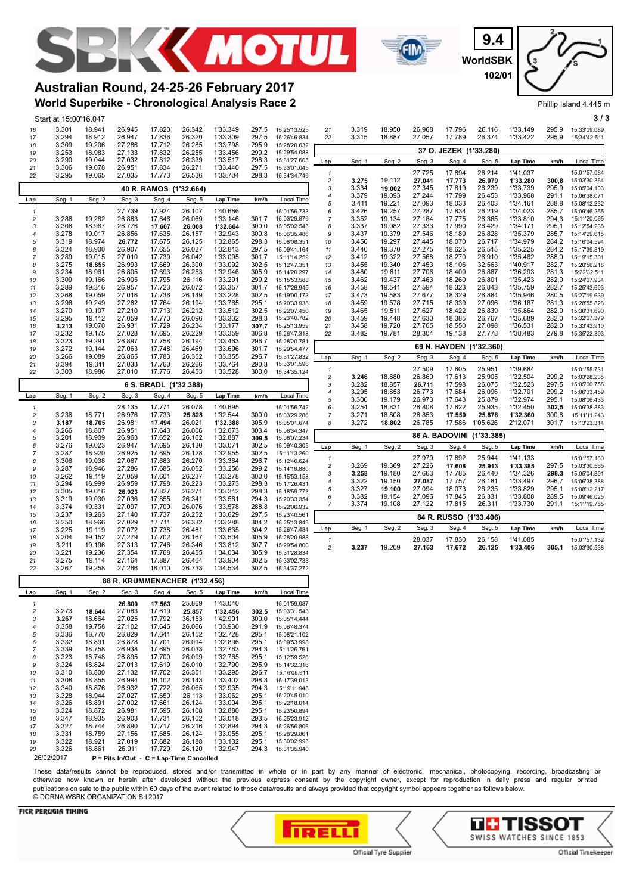



**WorldSBK 9.4 102/01**

Phillip Island 4.445 m

## **World Superbike - Chronological Analysis Race 2 Australian Round, 24-25-26 February 2017**

|  | Start at 15:00'16.047 |  |
|--|-----------------------|--|

|                         | Start at 15:00'16.047 |                  |                  |                                          |                  |                      |                |                              |                              |                |                  |                  |                        |                           |                      |                | 313                          |
|-------------------------|-----------------------|------------------|------------------|------------------------------------------|------------------|----------------------|----------------|------------------------------|------------------------------|----------------|------------------|------------------|------------------------|---------------------------|----------------------|----------------|------------------------------|
| 16                      | 3.301                 | 18.941           | 26.945           | 17.820                                   | 26.342           | 1'33.349             | 297,5          | 15:25'13.525                 | 21                           | 3.319          | 18.950           | 26.968           | 17.796                 | 26.116                    | 1'33.149             | 295,9          | 15:33'09.089                 |
| 17                      | 3.294                 | 18.912           | 26.947           | 17.836                                   | 26.320           | 1'33.309             | 297,5          | 15:26'46.834                 | 22                           | 3.315          | 18.887           | 27.057           | 17.789                 | 26.374                    | 1'33.422             | 295,9          | 15:34'42.511                 |
| 18                      | 3.309                 | 19.206           | 27.286           | 17.712                                   | 26.285           | 1'33.798             | 295.9          | 15:28'20.632                 |                              |                |                  |                  | 37 O. JEZEK (1'33.280) |                           |                      |                |                              |
| 19<br>20                | 3.253<br>3.290        | 18.983<br>19.044 | 27.133<br>27.032 | 17.832<br>17.812                         | 26.255<br>26.339 | 1'33.456<br>1'33.517 | 299,2<br>298,3 | 15:29'54.088<br>15:31'27.605 |                              |                |                  |                  |                        |                           |                      |                |                              |
| 21                      | 3.306                 | 19.078           | 26.951           | 17.834                                   | 26.271           | 1'33.440             | 297,5          | 15:33'01.045                 | Lap                          | Seg. 1         | Seg. 2           | Seg. 3           | Seg. 4                 | Seg. 5                    | Lap Time             | km/h           | Local Time                   |
| 22                      | 3.295                 | 19.065           | 27.035           | 17.773                                   | 26.536           | 1'33.704             | 298,3          | 15:34'34.749                 | 1                            |                |                  | 27.725           | 17.894                 | 26.214                    | 1'41.037             |                | 15:01'57.084                 |
|                         |                       |                  |                  | 40 R. RAMOS (1'32.664)                   |                  |                      |                |                              | $\overline{\mathbf{c}}$<br>3 | 3.275<br>3.334 | 19.112<br>19.002 | 27.041<br>27.345 | 17.773<br>17.819       | 26.079<br>26.239          | 1'33.280<br>1'33.739 | 300,8<br>295,9 | 15:03'30.364<br>15:05'04.103 |
|                         |                       |                  |                  |                                          |                  |                      |                |                              | 4                            | 3.379          | 19.093           | 27.244           | 17.799                 | 26.453                    | 1'33.968             | 291,1          | 15:06'38.071                 |
| Lap                     | Seg. 1                | Seg. 2           | Seg. 3           | Seg. 4                                   | Seg. 5           | Lap Time             | km/h           | Local Time                   | 5                            | 3.411          | 19.221           | 27.093           | 18.033                 | 26.403                    | 1'34.161             | 288,8          | 15:08'12.232                 |
| 1                       |                       |                  | 27.739           | 17.924                                   | 26.107           | 1'40.686             |                | 15:01'56.733                 | 6                            | 3.426          | 19.257           | 27.287           | 17.834                 | 26.219                    | 1'34.023             | 285.7          | 15:09'46.255                 |
| $\overline{\mathbf{c}}$ | 3.286                 | 19.282           | 26.863           | 17.646                                   | 26.069           | 1'33.146             | 301,7          | 15:03'29.879                 | 7                            | 3.352          | 19.134           | 27.184           | 17.775                 | 26.365                    | 1'33.810             | 294,3          | 15:11'20.065                 |
| 3<br>4                  | 3.306<br>3.278        | 18.967           | 26.776<br>26.856 | 17.607                                   | 26.008           | 1'32.664<br>1'32.943 | 300,0<br>300,8 | 15:05'02.543                 | 8<br>9                       | 3.337<br>3.437 | 19.082<br>19.379 | 27.333<br>27.546 | 17.990                 | 26.429                    | 1'34.171<br>1'35.379 | 295,1<br>285,7 | 15:12'54.236                 |
| 5                       | 3.319                 | 19.017<br>18.974 | 26.772           | 17.635<br>17.675                         | 26.157<br>26.125 | 1'32.865             | 298,3          | 15:06'35.486<br>15:08'08.351 | 10                           | 3.450          | 19.297           | 27.445           | 18.189<br>18.070       | 26.828<br>26.717          | 1'34.979             | 284,2          | 15:14'29.615<br>15:16'04.594 |
| 6                       | 3.324                 | 18.900           | 26.907           | 17.655                                   | 26.027           | 1'32.813             | 297.5          | 15:09'41.164                 | 11                           | 3.440          | 19.370           | 27.275           | 18.625                 | 26.515                    | 1'35.225             | 284.2          | 15:17'39.819                 |
| 7                       | 3.289                 | 19.015           | 27.010           | 17.739                                   | 26.042           | 1'33.095             | 301,7          | 15:11'14.259                 | 12                           | 3.412          | 19.322           | 27.568           | 18.270                 | 26.910                    | 1'35.482             | 288,0          | 15:19'15.301                 |
| 8                       | 3.275                 | 18.855           | 26.993           | 17.669                                   | 26.300           | 1'33.092             | 302,5          | 15:12'47.351                 | 13                           | 3.455          | 19.340           | 27.453           | 18.106                 | 32.563                    | 1'40.917             | 282,7          | 15:20'56.218                 |
| 9                       | 3.234                 | 18.961           | 26.805           | 17.693                                   | 26.253           | 1'32.946             | 305,9          | 15:14'20.297                 | 14                           | 3.480          | 19.811           | 27.706           | 18.409                 | 26.887                    | 1'36.293             | 281,3          | 15:22'32.511                 |
| 10<br>11                | 3.309<br>3.289        | 19.166<br>19.316 | 26.905<br>26.957 | 17.795<br>17.723                         | 26.116<br>26.072 | 1'33.291<br>1'33.357 | 299.2<br>301.7 | 15:15'53.588<br>15:17'26.945 | 15<br>16                     | 3.462<br>3.458 | 19.437<br>19.541 | 27.463<br>27.594 | 18.260<br>18.323       | 26.801<br>26.843          | 1'35.423<br>1'35.759 | 282.0<br>282.7 | 15:24'07.934<br>15:25'43.693 |
| 12                      | 3.268                 | 19.059           | 27.016           | 17.736                                   | 26.149           | 1'33.228             | 302,5          | 15:19'00.173                 | 17                           | 3.473          | 19.583           | 27.677           | 18.329                 | 26.884                    | 1'35.946             | 280,5          | 15:27'19.639                 |
| 13                      | 3.296                 | 19.249           | 27.262           | 17.764                                   | 26.194           | 1'33.765             | 295,1          | 15:20'33.938                 | 18                           | 3.459          | 19.578           | 27.715           | 18.339                 | 27.096                    | 1'36.187             | 281,3          | 15:28'55.826                 |
| 14                      | 3.270                 | 19.107           | 27.210           | 17.713                                   | 26.212           | 1'33.512             | 302,5          | 15:22'07.450                 | 19                           | 3.465          | 19.511           | 27.627           | 18.422                 | 26.839                    | 1'35.864             | 282,0          | 15:30'31.690                 |
| 15                      | 3.295                 | 19.112           | 27.059           | 17.770                                   | 26.096           | 1'33.332             | 298.3          | 15:23'40.782                 | 20                           | 3.459          | 19.448           | 27.630           | 18.385                 | 26.767                    | 1'35.689             | 282.0          | 15:32'07.379                 |
| 16<br>17                | 3.213<br>3.232        | 19.070<br>19.175 | 26.931<br>27.028 | 17.729<br>17.695                         | 26.234<br>26.229 | 1'33.177<br>1'33.359 | 307.7<br>306,8 | 15:25'13.959<br>15:26'47.318 | 21<br>22                     | 3.458<br>3.482 | 19.720<br>19.781 | 27.705<br>28.304 | 18.550<br>19.138       | 27.098<br>27.778          | 1'36.531<br>1'38.483 | 282.0<br>279,8 | 15:33'43.910<br>15:35'22.393 |
| 18                      | 3.323                 | 19.291           | 26.897           | 17.758                                   | 26.194           | 1'33.463             | 296,7          | 15:28'20.781                 |                              |                |                  |                  |                        |                           |                      |                |                              |
| 19                      | 3.272                 | 19.144           | 27.063           | 17.748                                   | 26.469           | 1'33.696             | 301,7          | 15:29'54.477                 |                              |                |                  |                  |                        | 69 N. HAYDEN (1'32.360)   |                      |                |                              |
| 20                      | 3.266                 | 19.089           | 26.865           | 17.783                                   | 26.352           | 1'33.355             | 296.7          | 15:31'27.832                 | Lap                          | Seg. 1         | Seg. 2           | Seg. 3           | Seg. 4                 | Seg. 5                    | <b>Lap Time</b>      | km/h           | Local Time                   |
| 21                      | 3.394                 | 19.311           | 27.033           | 17.760                                   | 26.266           | 1'33.764             | 290,3          | 15:33'01.596                 | $\mathbf{1}$                 |                |                  | 27.509           | 17.605                 | 25.951                    | 1'39.684             |                | 15:01'55.731                 |
| 22                      | 3.303                 | 18.986           | 27.010           | 17.776                                   | 26.453           | 1'33.528             | 300,0          | 15:34'35.124                 | $\sqrt{2}$                   | 3.246          | 18.880           | 26.860           | 17.613                 | 25.905                    | 1'32.504             | 299,2          | 15:03'28.235                 |
|                         |                       |                  |                  | 6 S. BRADL (1'32.388)                    |                  |                      |                |                              | 3                            | 3.282          | 18.857           | 26.711           | 17.598                 | 26.075                    | 1'32.523             | 297.5          | 15:05'00.758                 |
| Lap                     | Seg. 1                | Seg. 2           | Seg. 3           | Seg. 4                                   | Seg. 5           | <b>Lap Time</b>      | km/h           | Local Time                   | 4                            | 3.295          | 18.853           | 26.773           | 17.684                 | 26.096                    | 1'32.701             | 299,2          | 15:06'33.459                 |
|                         |                       |                  |                  |                                          |                  |                      |                |                              | 5                            | 3.300          | 19.179           | 26.973           | 17.643                 | 25.879                    | 1'32.974             | 295,1          | 15:08'06.433                 |
| 1<br>$\sqrt{2}$         | 3.236                 | 18.771           | 28.135<br>26.976 | 17.771<br>17.733                         | 26.078           | 1'40.695<br>1'32.544 | 300,0          | 15:01'56.742                 | 6<br>7                       | 3.254<br>3.271 | 18.831<br>18.808 | 26.808<br>26.853 | 17.622<br>17.550       | 25.935                    | 1'32.450             | 302.5<br>300,8 | 15:09'38.883                 |
| 3                       | 3.187                 | 18.705           | 26.981           | 17.494                                   | 25.828<br>26.021 | 1'32.388             | 305.9          | 15:03'29.286<br>15:05'01.674 | 8                            | 3.272          | 18.802           | 26.785           | 17.586                 | 25.878<br>1'05.626        | 1'32.360<br>2'12.071 | 301.7          | 15:11'11.243<br>15:13'23.314 |
| 4                       | 3.266                 | 18.807           | 26.951           | 17.643                                   | 26.006           | 1'32.673             | 303,4          | 15:06'34.347                 |                              |                |                  |                  |                        |                           |                      |                |                              |
| 5                       | 3.201                 | 18.909           | 26.963           | 17.652                                   | 26.162           | 1'32.887             | 309,5          | 15:08'07.234                 |                              |                |                  |                  |                        | 86 A. BADOVINI (1'33.385) |                      |                |                              |
| 6                       | 3.276                 | 19.023           | 26.947           | 17.695                                   | 26.130           | 1'33.071             | 302,5          | 15:09'40.305                 | Lap                          | Seg. 1         | Seg. 2           | Seg. 3           | Seg. 4                 | Seg. 5                    | Lap Time             | km/h           | Local Time                   |
| 7<br>8                  | 3.287<br>3.306        | 18.920<br>19.038 | 26.925<br>27.067 | 17.695<br>17.683                         | 26.128<br>26.270 | 1'32.955<br>1'33.364 | 302,5<br>296.7 | 15:11'13.260<br>15:12'46.624 | 1                            |                |                  | 27.979           | 17.892                 | 25.944                    | 1'41.133             |                | 15:01'57.180                 |
| 9                       | 3.287                 | 18.946           | 27.286           | 17.685                                   | 26.052           | 1'33.256             | 299,2          | 15:14'19.880                 | $\overline{c}$               | 3.269          | 19.369           | 27.226           | 17.608                 | 25.913                    | 1'33.385             | 297,5          | 15:03'30.565                 |
| 10                      | 3.262                 | 19.119           | 27.059           | 17.601                                   | 26.237           | 1'33.278             | 300,0          | 15:15'53.158                 | 3                            | 3.258          | 19.180           | 27.663           | 17.785                 | 26.440                    | 1'34.326             | 298.3          | 15:05'04.891                 |
| 11                      | 3.294                 | 18.999           | 26.959           | 17.798                                   | 26.223           | 1'33.273             | 298,3          | 15:17'26.431                 | 4                            | 3.322          | 19.150           | 27.087           | 17.757                 | 26.181                    | 1'33.497             | 296,7          | 15:06'38.388                 |
| 12                      | 3.305                 | 19.016           | 26.923           | 17.827                                   | 26.271           | 1'33.342             | 298,3          | 15:18'59.773                 | 5<br>6                       | 3.327<br>3.382 | 19.100<br>19.154 | 27.094<br>27.096 | 18.073<br>17.845       | 26.235<br>26.331          | 1'33.829<br>1'33.808 | 295.1<br>289,5 | 15:08'12.217<br>15:09'46.025 |
| 13                      | 3.319<br>3.374        | 19.030<br>19.331 | 27.036<br>27.097 | 17.855<br>17.700                         | 26.341<br>26.076 | 1'33.581<br>1'33.578 | 294.3<br>288,8 | 15:20'33.354<br>15:22'06.932 | 7                            | 3.374          | 19.108           | 27.122           | 17.815                 | 26.311                    | 1'33.730             | 291,1          | 15:11'19.755                 |
| 14<br>15                | 3.237                 | 19.263           | 27.140           | 17.737                                   | 26.252           | 1'33.629             | 297,5          | 15:23'40.561                 |                              |                |                  |                  |                        |                           |                      |                |                              |
| 16                      | 3.250                 | 18.966           | 27.029           | 17.711                                   | 26.332           | 1'33.288             | 304,2          | 15:25'13.849                 |                              |                |                  |                  | 84 R. RUSSO (1'33.406) |                           |                      |                |                              |
| 17                      | 3.225                 | 19.119           | 27.072           | 17.738                                   | 26.481           | 1'33.635             | 304,2          | 15:26'47.484                 | Lap                          | Seg. 1         | Seg. 2           | Seg. 3           | Seg. 4                 | Seg. 5                    | Lap Time             | km/h           | Local Time                   |
| 18                      | 3.204                 | 19.152           | 27.279           | 17.702                                   | 26.167           | 1'33.504             | 305.9          | 15:28'20.988                 | $\mathbf{1}$                 |                |                  | 28.037           | 17.830                 | 26.158                    | 1'41.085             |                | 15:01'57.132                 |
| 19                      | 3.211                 | 19.196           | 27.313           | 17.746                                   | 26.346           | 1'33.812<br>1'34.034 | 307,7          | 15:29'54.800                 | $\overline{2}$               | 3.237          | 19.209           | 27.163           | 17.672                 | 26.125                    | 1'33.406             | 305.1          | 15:03'30.538                 |
| 20<br>21                | 3.221<br>3.275        | 19.236<br>19.114 | 27.354<br>27.164 | 17.768<br>17.887                         | 26.455<br>26.464 | 1'33.904             | 305,9<br>302,5 | 15:31'28.834<br>15:33'02.738 |                              |                |                  |                  |                        |                           |                      |                |                              |
| 22                      | 3.267                 | 19.258           | 27.266           | 18.010                                   | 26.733           | 1'34.534             | 302,5          | 15:34'37.272                 |                              |                |                  |                  |                        |                           |                      |                |                              |
|                         |                       |                  |                  |                                          |                  |                      |                |                              |                              |                |                  |                  |                        |                           |                      |                |                              |
|                         |                       |                  |                  | 88 R. KRUMMENACHER (1'32.456)            |                  |                      |                |                              |                              |                |                  |                  |                        |                           |                      |                |                              |
| Lap                     | Seg. 1                | Seg.             | Seg. 3           | Seg. 4                                   | Seg. 5           | Lap Time             | km/h           | Local Time                   |                              |                |                  |                  |                        |                           |                      |                |                              |
| 1                       |                       |                  | 26.800           | 17.563                                   | 25.869           | 1'43.040             |                | 15:01'59.087                 |                              |                |                  |                  |                        |                           |                      |                |                              |
| $\sqrt{2}$              | 3.273                 | 18.644           | 27.063           | 17.619                                   | 25.857           | 1'32.456             | 302,5          | 15:03'31.543                 |                              |                |                  |                  |                        |                           |                      |                |                              |
| 3<br>4                  | 3.267<br>3.358        | 18.664<br>19.758 | 27.025<br>27.102 | 17.792<br>17.646                         | 36.153<br>26.066 | 1'42.901<br>1'33.930 | 300,0<br>291,9 | 15:05'14.444<br>15:06'48.374 |                              |                |                  |                  |                        |                           |                      |                |                              |
| 5                       | 3.336                 | 18.770           | 26.829           | 17.641                                   | 26.152           | 1'32.728             | 295,1          | 15:08'21.102                 |                              |                |                  |                  |                        |                           |                      |                |                              |
| 6                       | 3.332                 | 18.891           | 26.878           | 17.701                                   | 26.094           | 1'32.896             | 295.1          | 15:09'53.998                 |                              |                |                  |                  |                        |                           |                      |                |                              |
| 7                       | 3.339                 | 18.758           | 26.938           | 17.695                                   | 26.033           | 1'32.763             | 294,3          | 15:11'26.761                 |                              |                |                  |                  |                        |                           |                      |                |                              |
| 8                       | 3.323                 | 18.748           | 26.895           | 17.700                                   | 26.099           | 1'32.765             | 295,1          | 15:12'59.526                 |                              |                |                  |                  |                        |                           |                      |                |                              |
| 9                       | 3.324                 | 18.824           | 27.013<br>27.132 | 17.619<br>17.702                         | 26.010           | 1'32.790<br>1'33.295 | 295,9          | 15:14'32.316                 |                              |                |                  |                  |                        |                           |                      |                |                              |
| 10<br>11                | 3.310<br>3.308        | 18.800<br>18.855 | 26.994           | 18.102                                   | 26.351<br>26.143 | 1'33.402             | 296,7<br>298.3 | 15:16'05.611<br>15:17'39.013 |                              |                |                  |                  |                        |                           |                      |                |                              |
| 12                      | 3.340                 | 18.876           | 26.932           | 17.722                                   | 26.065           | 1'32.935             | 294,3          | 15:19'11.948                 |                              |                |                  |                  |                        |                           |                      |                |                              |
| 13                      | 3.328                 | 18.944           | 27.027           | 17.650                                   | 26.113           | 1'33.062             | 295,1          | 15:20'45.010                 |                              |                |                  |                  |                        |                           |                      |                |                              |
| 14                      | 3.326                 | 18.891           | 27.002           | 17.661                                   | 26.124           | 1'33.004             | 295,1          | 15:22'18.014                 |                              |                |                  |                  |                        |                           |                      |                |                              |
| 15                      | 3.324                 | 18.872           | 26.981           | 17.595                                   | 26.108           | 1'32.880             | 295,1          | 15:23'50.894                 |                              |                |                  |                  |                        |                           |                      |                |                              |
| 16<br>17                | 3.347<br>3.327        | 18.935<br>18.744 | 26.903<br>26.890 | 17.731<br>17.717                         | 26.102<br>26.216 | 1'33.018<br>1'32.894 | 293.5<br>294,3 | 15:25'23.912<br>15:26'56.806 |                              |                |                  |                  |                        |                           |                      |                |                              |
| 18                      | 3.331                 | 18.759           | 27.156           | 17.685                                   | 26.124           | 1'33.055             | 295,1          | 15:28'29.861                 |                              |                |                  |                  |                        |                           |                      |                |                              |
| 19                      | 3.322                 | 18.921           | 27.019           | 17.682                                   | 26.188           | 1'33.132             | 295,1          | 15:30'02.993                 |                              |                |                  |                  |                        |                           |                      |                |                              |
| 20                      | 3.326                 | 18.861           | 26.911           | 17.729                                   | 26.120           | 1'32.947             | 294,3          | 15:31'35.940                 |                              |                |                  |                  |                        |                           |                      |                |                              |
|                         | 26/02/2017            |                  |                  | P = Pits In/Out - C = Lap-Time Cancelled |                  |                      |                |                              |                              |                |                  |                  |                        |                           |                      |                |                              |
|                         |                       |                  |                  |                                          |                  |                      |                |                              |                              |                |                  |                  |                        |                           |                      |                |                              |

These data/results cannot be reproduced, stored and/or transmitted in whole or in part by any manner of electronic, mechanical, photocopying, recording, broadcasting or otherwise now known or herein after developed without the previous express consent by the copyright owner, except for reproduction in daily press and regular printed publications on sale to the public within 60 days of the event related to those data/results and always provided that copyright symbol appears together as follows below. © DORNA WSBK ORGANIZATION Srl 2017

### **FICR PERUGIA TIMING**





Official Timekeeper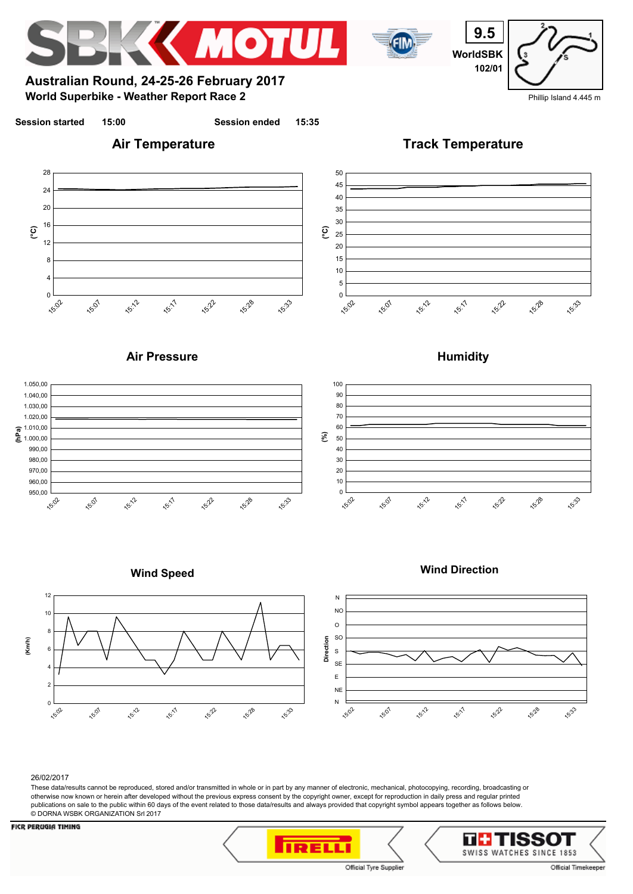

#### 26/02/2017

These data/results cannot be reproduced, stored and/or transmitted in whole or in part by any manner of electronic, mechanical, photocopying, recording, broadcasting or otherwise now known or herein after developed without the previous express consent by the copyright owner, except for reproduction in daily press and regular printed publications on sale to the public within 60 days of the event related to those data/results and always provided that copyright symbol appears together as follows below. © DORNA WSBK ORGANIZATION Srl 2017



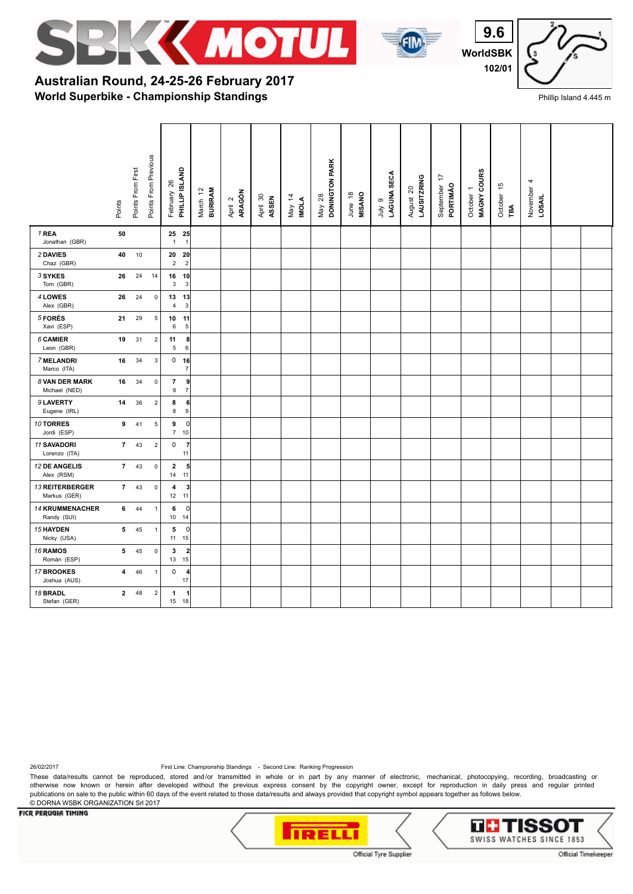



**WorldSBK 9.6 102/01**



Phillip Island 4.445 m

## **World Superbike - Championship Standings Australian Round, 24-25-26 February 2017**

|                                    | Points         | Points From First | Points From Previous    | PHILLIP ISLAND<br>26<br>February                | <b>BURIRAM</b><br>March 12 | ARAGÓN<br>April 2 | April 30<br>ASSEN | May 14<br><b>INOLA</b> | DONINGTON PARK<br>May 28 | <b>MISANO</b><br>June 18 | LAGUNA SECA<br>თ<br>ylnr | LAUSITZRING<br>August 20 | 17<br>September<br>PORTIMÃO | MAGNY COURS<br>October 1 | October 15<br>ĩФ | 4<br>November<br>LOSAIL |  |
|------------------------------------|----------------|-------------------|-------------------------|-------------------------------------------------|----------------------------|-------------------|-------------------|------------------------|--------------------------|--------------------------|--------------------------|--------------------------|-----------------------------|--------------------------|------------------|-------------------------|--|
| 1 REA<br>Jonathan (GBR)            | 50             |                   |                         | 25 25<br>$\overline{1}$<br>$\mathbf{1}$         |                            |                   |                   |                        |                          |                          |                          |                          |                             |                          |                  |                         |  |
| 2 DAVIES<br>Chaz (GBR)             | 40             | 10                |                         | 20<br>20<br>$\overline{c}$<br>$\overline{2}$    |                            |                   |                   |                        |                          |                          |                          |                          |                             |                          |                  |                         |  |
| 3 SYKES<br>Tom (GBR)               | 26             | 24                | 14                      | 16 10<br>$\mathbf{3}$<br>$\mathbf{3}$           |                            |                   |                   |                        |                          |                          |                          |                          |                             |                          |                  |                         |  |
| 4 LOWES<br>Alex (GBR)              | 26             | 24                | $\pmb{0}$               | 13<br>13<br>$\sqrt{3}$<br>$\overline{4}$        |                            |                   |                   |                        |                          |                          |                          |                          |                             |                          |                  |                         |  |
| 5 FORÉS<br>Xavi (ESP)              | 21             | 29                | $\sqrt{5}$              | 10<br>11<br>$\sqrt{5}$<br>6                     |                            |                   |                   |                        |                          |                          |                          |                          |                             |                          |                  |                         |  |
| 6 CAMIER<br>Leon (GBR)             | 19             | 31                | $\overline{\mathbf{c}}$ | 11<br>5<br>6                                    | 8                          |                   |                   |                        |                          |                          |                          |                          |                             |                          |                  |                         |  |
| 7 MELANDRI<br>Marco (ITA)          | 16             | 34                | $\mathsf 3$             | $0$ 16                                          | $\overline{7}$             |                   |                   |                        |                          |                          |                          |                          |                             |                          |                  |                         |  |
| 8 VAN DER MARK<br>Michael (NED)    | 16             | 34                | $\mathsf 0$             | $\overline{7}$<br>$\mathsf g$<br>$\overline{7}$ | 9                          |                   |                   |                        |                          |                          |                          |                          |                             |                          |                  |                         |  |
| 9 LAVERTY<br>Eugene (IRL)          | 14             | 36                | $\sqrt{2}$              | 8<br>8                                          | 6<br>$\boldsymbol{9}$      |                   |                   |                        |                          |                          |                          |                          |                             |                          |                  |                         |  |
| 10 TORRES<br>Jordi (ESP)           | 9              | 41                | $\sqrt{5}$              | 9<br>$\overline{7}$<br>10                       | 0                          |                   |                   |                        |                          |                          |                          |                          |                             |                          |                  |                         |  |
| 11 SAVADORI<br>Lorenzo (ITA)       | $\overline{7}$ | 43                | $\sqrt{2}$              | $\mathbf 0$<br>11                               | $\overline{7}$             |                   |                   |                        |                          |                          |                          |                          |                             |                          |                  |                         |  |
| <b>12 DE ANGELIS</b><br>Alex (RSM) | $\overline{7}$ | 43                | $\pmb{0}$               | $\mathbf 2$<br>11<br>14                         | 5                          |                   |                   |                        |                          |                          |                          |                          |                             |                          |                  |                         |  |
| 13 REITERBERGER<br>Markus (GER)    | $\overline{7}$ | 43                | $\pmb{0}$               | 4<br>12 11                                      | 3                          |                   |                   |                        |                          |                          |                          |                          |                             |                          |                  |                         |  |
| 14 KRUMMENACHER<br>Randy (SUI)     | 6              | 44                | $\mathbf{1}$            | 6<br>10<br>14                                   | 0                          |                   |                   |                        |                          |                          |                          |                          |                             |                          |                  |                         |  |
| 15 HAYDEN<br>Nicky (USA)           | 5              | 45                | $\mathbf{1}$            | 5<br>15<br>11                                   | $\overline{0}$             |                   |                   |                        |                          |                          |                          |                          |                             |                          |                  |                         |  |
| 16 RAMOS<br>Román (ESP)            | 5              | 45                | $\pmb{0}$               | 3<br>15<br>13                                   | $\overline{\mathbf{c}}$    |                   |                   |                        |                          |                          |                          |                          |                             |                          |                  |                         |  |
| 17 BROOKES<br>Joshua (AUS)         | 4              | 46                | $\mathbf{1}$            | 0<br>17                                         | 4                          |                   |                   |                        |                          |                          |                          |                          |                             |                          |                  |                         |  |
| 18 BRADL<br>Stefan (GER)           | $\mathbf{2}$   | 48                | $\sqrt{2}$              | 1<br>18<br>15                                   | $\overline{1}$             |                   |                   |                        |                          |                          |                          |                          |                             |                          |                  |                         |  |

26/02/2017 First Line: Championship Standings - Second Line: Ranking Progression

These data/results cannot be reproduced, stored and/or transmitted in whole or in part by any manner of electronic, mechanical, photocopying, recording, broadcasting or otherwise now known or herein after developed without the previous express consent by the copyright owner, except for reproduction in daily press and regular printed publications on sale to the public within 60 days of the event related to those data/results and always provided that copyright symbol appears together as follows below. © DORNA WSBK ORGANIZATION Srl 2017



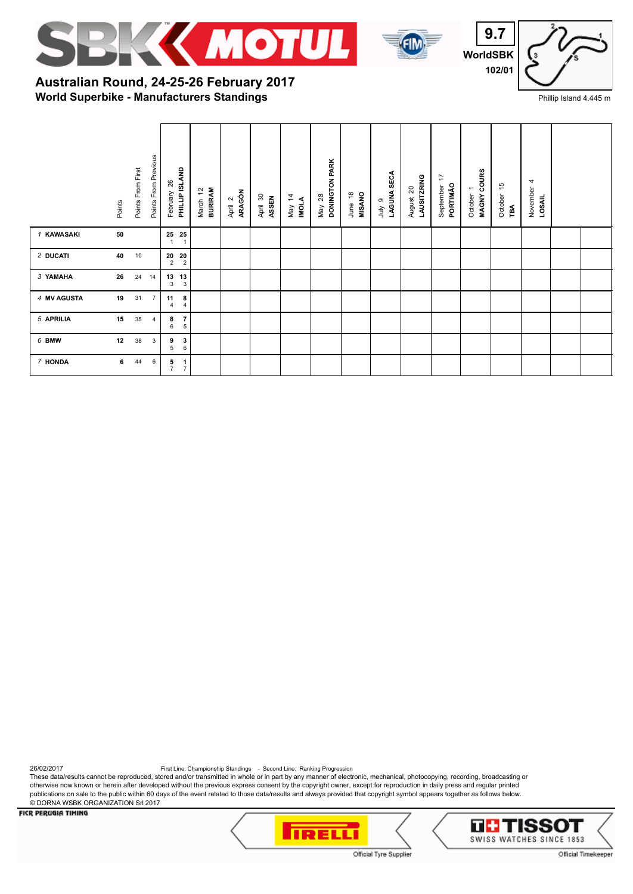





**World Superbike - Manufacturers Standings Australian Round, 24-25-26 February 2017**

|             | Points | Points From First | Points From Previous | PHILLIP ISLAND<br>February 26                                                        | <b>BURIRAM</b><br>$\tilde{L}$<br>March | ARAGÓN<br>April 2 | April 30<br>ASSEN | May 14<br>IMOLA | DONINGTON PARK<br>May 28 | $\overset{\circ}{\phantom{a}}$<br><b>MISANO</b><br>June | LAGUNA SECA<br>ၜ<br>Š | LAUSITZRING<br>$\mathsf{S}^{\mathsf{O}}$<br>August | 17<br>PORTIMÃO<br>September | MAGNY COURS<br>$\overline{\phantom{m}}$<br>October | 45<br>October<br>$\mathbb{R}^4$ | 4<br>November<br>LOSAIL |  |
|-------------|--------|-------------------|----------------------|--------------------------------------------------------------------------------------|----------------------------------------|-------------------|-------------------|-----------------|--------------------------|---------------------------------------------------------|-----------------------|----------------------------------------------------|-----------------------------|----------------------------------------------------|---------------------------------|-------------------------|--|
| 1 KAWASAKI  | 50     |                   |                      | $\begin{array}{cc} \textbf{25} & \textbf{25} \\ \textbf{1} & \textbf{1} \end{array}$ |                                        |                   |                   |                 |                          |                                                         |                       |                                                    |                             |                                                    |                                 |                         |  |
| 2 DUCATI    | 40     | 10                |                      | $\begin{array}{cc} \textbf{20} & \textbf{20} \\ \textbf{2} & \textbf{2} \end{array}$ |                                        |                   |                   |                 |                          |                                                         |                       |                                                    |                             |                                                    |                                 |                         |  |
| 3 YAMAHA    | 26     | 24                | 14                   | $\begin{array}{cc} 13 & 13 \\ 3 & 3 \end{array}$                                     |                                        |                   |                   |                 |                          |                                                         |                       |                                                    |                             |                                                    |                                 |                         |  |
| 4 MV AGUSTA | 19     | 31                | $\overline{7}$       | $\begin{array}{c} {\bf 8}\\ 4 \end{array}$<br>$\begin{array}{c} 11 \\ 4 \end{array}$ |                                        |                   |                   |                 |                          |                                                         |                       |                                                    |                             |                                                    |                                 |                         |  |
| 5 APRILIA   | 15     | 35                | 4                    | $\frac{7}{5}$<br>8<br>6                                                              |                                        |                   |                   |                 |                          |                                                         |                       |                                                    |                             |                                                    |                                 |                         |  |
| 6 BMW       | 12     | 38                | 3                    | $\frac{3}{6}$<br>9<br>5                                                              |                                        |                   |                   |                 |                          |                                                         |                       |                                                    |                             |                                                    |                                 |                         |  |
| 7 HONDA     | 6      | 44                | 6                    | $\frac{1}{7}$<br>$\frac{5}{7}$                                                       |                                        |                   |                   |                 |                          |                                                         |                       |                                                    |                             |                                                    |                                 |                         |  |

26/02/2017<br>These data/results cannot be reproduced, stored and/or transmitted in whole or in part by any manner of electronic, mechanical, photocopying, recording, broadcasting or otherwise now known or herein after developed without the previous express consent by the copyright owner, except for reproduction in daily press and regular printed publications on sale to the public within 60 days of the event related to those data/results and always provided that copyright symbol appears together as follows below. © DORNA WSBK ORGANIZATION Srl 2017



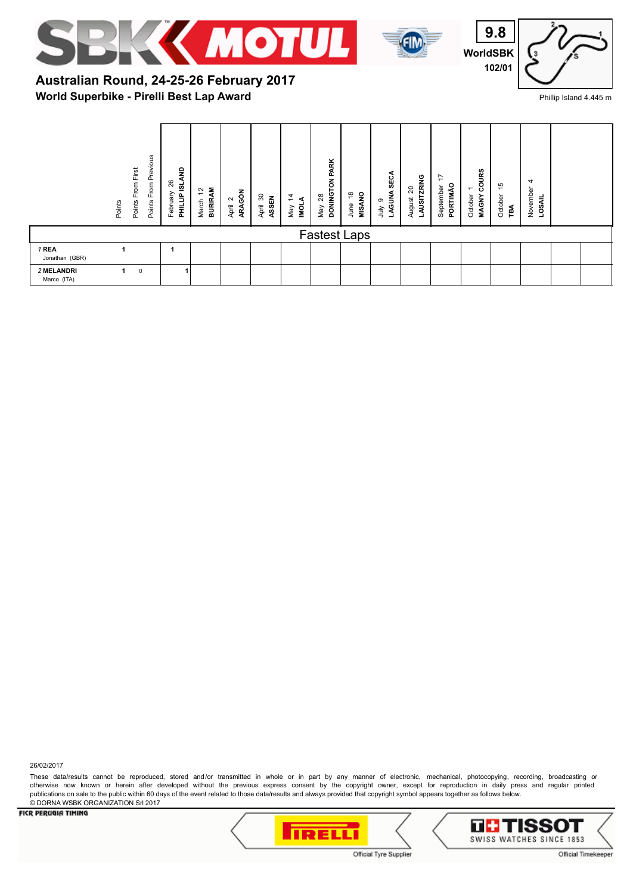





# **World Superbike - Pirelli Best Lap Award Australian Round, 24-25-26 February 2017**

|                           | Points | From First<br>Points | From Previous<br>Points | ę<br>26<br><u>ø</u><br>February<br>PHILLIP | <b>BURIRAM</b><br>$\tilde{c}$<br>March | ARAGÓN<br>$\sim$<br>April | 30<br>ASSEN<br>April | $\ddot{4}$<br>⋖<br>lo∥<br>Vay | May 28<br>DONINGTON PARK | <b>MISANO</b><br>₽<br>June | SECA<br>LAGUNA<br>ၜ<br>ήцι | AUSITZRING<br>20<br>August | ⇆<br>PORTIMÃO<br>September | COURS<br>$\overline{\phantom{0}}$<br>October<br><b>MAGNY</b> | $\frac{1}{2}$<br>October<br>ΡÁ | 4<br>November<br>LOSAIL |  |
|---------------------------|--------|----------------------|-------------------------|--------------------------------------------|----------------------------------------|---------------------------|----------------------|-------------------------------|--------------------------|----------------------------|----------------------------|----------------------------|----------------------------|--------------------------------------------------------------|--------------------------------|-------------------------|--|
|                           |        |                      |                         |                                            |                                        |                           |                      |                               | <b>Fastest Laps</b>      |                            |                            |                            |                            |                                                              |                                |                         |  |
| 1 REA<br>Jonathan (GBR)   |        |                      |                         |                                            |                                        |                           |                      |                               |                          |                            |                            |                            |                            |                                                              |                                |                         |  |
| 2 MELANDRI<br>Marco (ITA) |        | $\mathbf 0$          |                         |                                            |                                        |                           |                      |                               |                          |                            |                            |                            |                            |                                                              |                                |                         |  |

26/02/2017

These data/results cannot be reproduced, stored and/or transmitted in whole or in part by any manner of electronic, mechanical, photocopying, recording, broadcasting or otherwise now known or herein after developed without the previous express consent by the copyright owner, except for reproduction in daily press and regular printed publications on sale to the public within 60 days of the event related to those data/results and always provided that copyright symbol appears together as follows below. © DORNA WSBK ORGANIZATION Srl 2017

#### **FICR PERUGIA TIMING**





Official Timekeeper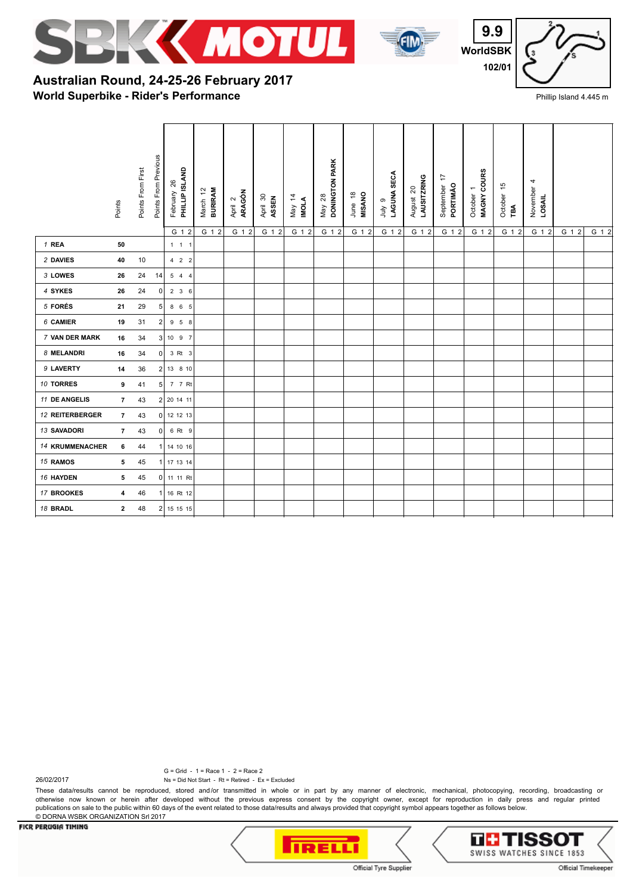



**WorldSBK 9.9 102/01**



Phillip Island 4.445 m

## **World Superbike - Rider's Performance Australian Round, 24-25-26 February 2017**

|                 | Points                  | Points From First | Points From Previous | PHILLIP ISLAND<br>February 26<br>G 1 2 | <b>BURIRAM</b><br>March 12<br>G 1 2 | ARAGÓN<br>April 2<br>G 1 2 | April 30<br>ASSEN<br>G 1 2 | May 14<br><b>INOLA</b><br>G 1 2 | DONINGTON PARK<br>May 28<br>G 1 2 | <b>MISANO</b><br>June 18<br>G 1 2 | LAGUNA SECA<br>e vinr<br>G 1 2 | LAUSITZRING<br>August 20<br>G 1 2 | 17<br>PORTIMÃO<br>September<br>G 1 2 | MAGNY COURS<br>$\overline{\phantom{0}}$<br>October<br>G 1 2 | October 15<br>'nА<br>G 1 2 | November <sub>4</sub><br><b>LOSAIL</b><br>G 1 2 | G 1 2 | G 1 2 |
|-----------------|-------------------------|-------------------|----------------------|----------------------------------------|-------------------------------------|----------------------------|----------------------------|---------------------------------|-----------------------------------|-----------------------------------|--------------------------------|-----------------------------------|--------------------------------------|-------------------------------------------------------------|----------------------------|-------------------------------------------------|-------|-------|
| 1 REA           | 50                      |                   |                      | $1 \quad 1 \quad 1$                    |                                     |                            |                            |                                 |                                   |                                   |                                |                                   |                                      |                                                             |                            |                                                 |       |       |
| 2 DAVIES        | 40                      | 10                |                      | $4$ 2 2                                |                                     |                            |                            |                                 |                                   |                                   |                                |                                   |                                      |                                                             |                            |                                                 |       |       |
| 3 LOWES         | 26                      | 24                | 14                   | 544                                    |                                     |                            |                            |                                 |                                   |                                   |                                |                                   |                                      |                                                             |                            |                                                 |       |       |
| 4 SYKES         | 26                      | 24                | 0                    | 236                                    |                                     |                            |                            |                                 |                                   |                                   |                                |                                   |                                      |                                                             |                            |                                                 |       |       |
| 5 FORÉS         | 21                      | 29                | 5 <sub>5</sub>       | 8 6 5                                  |                                     |                            |                            |                                 |                                   |                                   |                                |                                   |                                      |                                                             |                            |                                                 |       |       |
| 6 CAMIER        | 19                      | 31                | 2                    | 9 5 8                                  |                                     |                            |                            |                                 |                                   |                                   |                                |                                   |                                      |                                                             |                            |                                                 |       |       |
| 7 VAN DER MARK  | 16                      | 34                |                      | 3 1097                                 |                                     |                            |                            |                                 |                                   |                                   |                                |                                   |                                      |                                                             |                            |                                                 |       |       |
| 8 MELANDRI      | 16                      | 34                | 0                    | 3 Rt 3                                 |                                     |                            |                            |                                 |                                   |                                   |                                |                                   |                                      |                                                             |                            |                                                 |       |       |
| 9 LAVERTY       | 14                      | 36                |                      | 2 13 8 10                              |                                     |                            |                            |                                 |                                   |                                   |                                |                                   |                                      |                                                             |                            |                                                 |       |       |
| 10 TORRES       | 9                       | 41                | 5 <sup>1</sup>       | 7 7 Rt                                 |                                     |                            |                            |                                 |                                   |                                   |                                |                                   |                                      |                                                             |                            |                                                 |       |       |
| 11 DE ANGELIS   | $\overline{7}$          | 43                |                      | 2 20 14 11                             |                                     |                            |                            |                                 |                                   |                                   |                                |                                   |                                      |                                                             |                            |                                                 |       |       |
| 12 REITERBERGER | $\overline{7}$          | 43                | $\overline{0}$       | 12 12 13                               |                                     |                            |                            |                                 |                                   |                                   |                                |                                   |                                      |                                                             |                            |                                                 |       |       |
| 13 SAVADORI     | $\overline{7}$          | 43                | $\overline{0}$       | 6 Rt 9                                 |                                     |                            |                            |                                 |                                   |                                   |                                |                                   |                                      |                                                             |                            |                                                 |       |       |
| 14 KRUMMENACHER | 6                       | 44                |                      | 14 10 16                               |                                     |                            |                            |                                 |                                   |                                   |                                |                                   |                                      |                                                             |                            |                                                 |       |       |
| 15 RAMOS        | 5                       | 45                |                      | 17 13 14                               |                                     |                            |                            |                                 |                                   |                                   |                                |                                   |                                      |                                                             |                            |                                                 |       |       |
| 16 HAYDEN       | 5                       | 45                |                      | 0 11 11 Rt                             |                                     |                            |                            |                                 |                                   |                                   |                                |                                   |                                      |                                                             |                            |                                                 |       |       |
| 17 BROOKES      | 4                       | 46                |                      | 16 Rt 12                               |                                     |                            |                            |                                 |                                   |                                   |                                |                                   |                                      |                                                             |                            |                                                 |       |       |
| 18 BRADL        | $\overline{\mathbf{2}}$ | 48                |                      | 2 15 15 15                             |                                     |                            |                            |                                 |                                   |                                   |                                |                                   |                                      |                                                             |                            |                                                 |       |       |

G = Grid - 1 = Race 1 - 2 = Race 2

Ns = Did Not Start - Rt = Retired - Ex = Excluded

These data/results cannot be reproduced, stored and/or transmitted in whole or in part by any manner of electronic, mechanical, photocopying, recording, broadcasting or otherwise now known or herein after developed without the previous express consent by the copyright owner, except for reproduction in daily press and regular printed publications on sale to the public within 60 days of the event related to those data/results and always provided that copyright symbol appears together as follows below. © DORNA WSBK ORGANIZATION Srl 2017

### **FICR PERUGIA TIMING**

26/02/2017



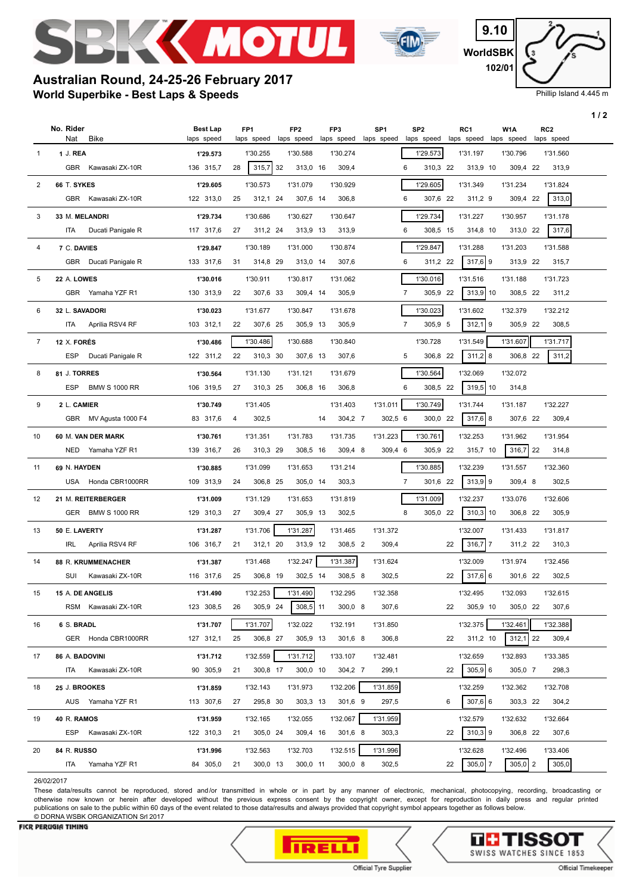

**World Superbike - Best Laps & Speeds**

**Australian Round, 24-25-26 February 2017**



**WorldSBK 9.10 102/01**

Phillip Island 4.445 m

**1 / 2**

|                |                                         |                               |    |                               |    |                               |    |                     |                               |                               |    |                      |                      |                               | 172 |
|----------------|-----------------------------------------|-------------------------------|----|-------------------------------|----|-------------------------------|----|---------------------|-------------------------------|-------------------------------|----|----------------------|----------------------|-------------------------------|-----|
|                | No. Rider<br><b>Bike</b><br>Nat         | <b>Best Lap</b><br>laps speed |    | FP <sub>1</sub><br>laps speed |    | FP <sub>2</sub><br>laps speed |    | FP3<br>laps speed   | SP <sub>1</sub><br>laps speed | SP <sub>2</sub><br>laps speed |    | RC1<br>laps speed    | W1A<br>laps speed    | RC <sub>2</sub><br>laps speed |     |
| -1             | 1 J. REA                                | 1'29.573                      |    | 1'30.255                      |    | 1'30.588                      |    | 1'30.274            |                               | 1'29.573                      |    | 1'31.197             | 1'30.796             | 1'31.560                      |     |
|                | GBR Kawasaki ZX-10R                     | 136 315,7                     | 28 | 315,7                         | 32 | 313,0 16                      |    | 309,4               |                               | 310,3 22<br>6                 |    | 313,9 10             | 309,4 22             | 313,9                         |     |
|                |                                         |                               |    |                               |    |                               |    |                     |                               |                               |    |                      |                      |                               |     |
| 2              | 66 T. SYKES                             | 1'29.605                      |    | 1'30.573                      |    | 1'31.079                      |    | 1'30.929            |                               | 1'29.605                      |    | 1'31.349             | 1'31.234             | 1'31.824                      |     |
|                | GBR<br>Kawasaki ZX-10R                  | 122 313,0                     | 25 | 312,1 24                      |    | 307,6 14                      |    | 306,8               |                               | 6<br>307,6 22                 |    | 311,2 9              | 309,4 22             | 313,0                         |     |
| 3              | 33 M. MELANDRI                          | 1'29.734                      |    | 1'30.686                      |    | 1'30.627                      |    | 1'30.647            |                               | 1'29.734                      |    | 1'31.227             | 1'30.957             | 1'31.178                      |     |
|                | ITA<br>Ducati Panigale R                | 117 317,6                     | 27 | 311,2 24                      |    | 313,9 13                      |    | 313,9               |                               | 308,5 15<br>6                 |    | 314,8 10             | 313,0 22             | 317,6                         |     |
| 4              | 7 C. DAVIES                             | 1'29.847                      |    | 1'30.189                      |    | 1'31.000                      |    | 1'30.874            |                               | 1'29.847                      |    | 1'31.288             | 1'31.203             | 1'31.588                      |     |
|                | GBR Ducati Panigale R                   | 133 317,6                     | 31 | 314,8 29                      |    | 313,0 14                      |    | 307,6               |                               | 6<br>311,2 22                 |    | $317,6$ 9            | 313,9 22             | 315,7                         |     |
| 5              | 22 A. LOWES                             | 1'30.016                      |    | 1'30.911                      |    | 1'30.817                      |    | 1'31.062            |                               | 1'30.016                      |    | 1'31.516             | 1'31.188             | 1'31.723                      |     |
|                | GBR Yamaha YZF R1                       | 130 313,9                     | 22 | 307,6 33                      |    | 309,4 14                      |    | 305,9               |                               | 7<br>305,9 22                 |    | $313,9$ 10           | 308,5 22             | 311,2                         |     |
| 6              | 32 L. SAVADORI                          | 1'30.023                      |    | 1'31.677                      |    | 1'30.847                      |    | 1'31.678            |                               | 1'30.023                      |    | 1'31.602             | 1'32.379             | 1'32.212                      |     |
|                | ITA<br>Aprilia RSV4 RF                  | 103 312,1                     | 22 | 307,6 25                      |    | 305,9 13                      |    | 305,9               |                               | $\overline{7}$<br>305,9 5     |    | $312,1$ 9            | 305,9 22             | 308,5                         |     |
| $\overline{7}$ | 12 X. FORÉS                             | 1'30.486                      |    | 1'30.486                      |    | 1'30.688                      |    | 1'30.840            |                               | 1'30.728                      |    | 1'31.549             | 1'31.607             | 1'31.717                      |     |
|                | <b>ESP</b><br>Ducati Panigale R         | 122 311,2                     | 22 | 310,3 30                      |    | 307,6 13                      |    | 307,6               |                               | 5<br>306,8 22                 |    | $311,2$ 8            | 306,8 22             | 311,2                         |     |
| 8              | 81 J. TORRES                            | 1'30.564                      |    | 1'31.130                      |    | 1'31.121                      |    | 1'31.679            |                               | 1'30.564                      |    | 1'32.069             | 1'32.072             |                               |     |
|                | <b>ESP</b><br><b>BMW S 1000 RR</b>      | 106 319,5                     | 27 | 310,3 25                      |    | 306,8 16                      |    | 306,8               |                               | 6<br>308,5 22                 |    | $319,5$ 10           | 314,8                |                               |     |
| 9              | 2 L. CAMIER                             | 1'30.749                      |    | 1'31.405                      |    |                               |    | 1'31.403            | 1'31.011                      | 1'30.749                      |    | 1'31.744             | 1'31.187             | 1'32.227                      |     |
|                | GBR MV Agusta 1000 F4                   | 83 317,6                      | 4  | 302,5                         |    |                               | 14 | 304,2 7             | 302,5 6                       | 300,0 22                      |    | $317,6$ 8            | 307,6 22             | 309,4                         |     |
|                |                                         |                               |    |                               |    |                               |    |                     |                               |                               |    |                      |                      |                               |     |
| 10             | 60 M. VAN DER MARK<br>NED Yamaha YZF R1 | 1'30.761<br>139 316,7         | 26 | 1'31.351<br>310,3 29          |    | 1'31.783<br>308,5 16          |    | 1'31.735<br>309,4 8 | 1'31.223<br>309,4 6           | 1'30.761<br>305,9 22          |    | 1'32.253<br>315,7 10 | 1'31.962<br>316,7 22 | 1'31.954<br>314,8             |     |
|                |                                         |                               |    |                               |    |                               |    |                     |                               |                               |    |                      |                      |                               |     |
| 11             | 69 N. HAYDEN                            | 1'30.885                      |    | 1'31.099                      |    | 1'31.653                      |    | 1'31.214            |                               | 1'30.885                      |    | 1'32.239             | 1'31.557             | 1'32.360                      |     |
|                | USA Honda CBR1000RR                     | 109 313,9                     | 24 | 306,8 25                      |    | 305,0 14                      |    | 303,3               |                               | $\overline{7}$<br>301,6 22    |    | $313,9$ 9            | 309,4 8              | 302,5                         |     |
| 12             | 21 M. REITERBERGER                      | 1'31.009                      |    | 1'31.129                      |    | 1'31.653                      |    | 1'31.819            |                               | 1'31.009                      |    | 1'32.237             | 1'33.076             | 1'32.606                      |     |
|                | GER BMW S 1000 RR                       | 129 310,3                     | 27 | 309,4 27                      |    | 305,9 13                      |    | 302,5               |                               | 8<br>305,0 22                 |    | $310,3$ 10           | 306,8 22             | 305,9                         |     |
| 13             | 50 E. LAVERTY                           | 1'31.287                      |    | 1'31.706                      |    | 1'31.287                      |    | 1'31.465            | 1'31.372                      |                               |    | 1'32.007             | 1'31.433             | 1'31.817                      |     |
|                | Aprilia RSV4 RF<br>IRL                  | 106 316,7                     | 21 | 312,1 20                      |    | 313,9 12                      |    | 308,5 2             | 309,4                         |                               | 22 | $316,7$ 7            | 311,2 22             | 310,3                         |     |
| 14             | 88 R. KRUMMENACHER                      | 1'31.387                      |    | 1'31.468                      |    | 1'32.247                      |    | 1'31.387            | 1'31.624                      |                               |    | 1'32.009             | 1'31.974             | 1'32.456                      |     |
|                | SUI<br>Kawasaki ZX-10R                  | 116 317,6                     | 25 | 306,8 19                      |    | 302,5 14                      |    | 308,5 8             | 302,5                         |                               | 22 | $317,6$ 6            | 301,6 22             | 302,5                         |     |
| 15             | 15 A. DE ANGELIS                        | 1'31.490                      |    | 1'32.253 1'31.490             |    |                               |    | 1'32.295            | 1'32.358                      |                               |    | 1'32.495             | 1'32.093             | 1'32.615                      |     |
|                | RSM Kawasaki ZX-10R                     | 123 308,5                     | 26 | 305,9 24                      |    | $308,5$ 11                    |    | 300,08              | 307,6                         |                               | 22 | 305,9 10             | 305,0 22             | 307,6                         |     |
| 16             | 6 S. BRADL                              | 1'31.707                      |    | 1'31.707                      |    | 1'32.022                      |    | 1'32.191            | 1'31.850                      |                               |    | 1'32.375             | 1'32.461             | 1'32.388                      |     |
|                | GER Honda CBR1000RR                     | 127 312,1                     | 25 | 306,8 27                      |    | 305,9 13                      |    | 301,6 8             | 306,8                         |                               |    | 22 311,2 10          | 312,1 22             | 309,4                         |     |
| 17             | 86 A. BADOVINI                          | 1'31.712                      |    | 1'32.559                      |    | 1'31.712                      |    | 1'33.107            | 1'32.481                      |                               |    | 1'32.659             | 1'32.893             | 1'33.385                      |     |
|                | ITA Kawasaki ZX-10R                     | 90 305,9                      |    | 21 300,8 17                   |    | 300,0 10                      |    | 304,2 7             | 299,1                         |                               | 22 | $305,9$ 6            | 305,0 7              | 298,3                         |     |
| 18             | 25 J. BROOKES                           | 1'31.859                      |    | 1'32.143                      |    | 1'31.973                      |    | 1'32.206            | 1'31.859                      |                               |    | 1'32.259             | 1'32.362             | 1'32.708                      |     |
|                | AUS Yamaha YZF R1                       | 113 307,6                     |    | 27 295,8 30                   |    | 303,3 13                      |    | 301,6 9             | 297,5                         |                               | 6  | $307,6$ 6            | 303,3 22             | 304,2                         |     |
| 19             | 40 R. RAMOS                             | 1'31.959                      |    | 1'32.165                      |    | 1'32.055                      |    | 1'32.067            | 1'31.959                      |                               |    | 1'32.579             | 1'32.632             | 1'32.664                      |     |
|                | ESP Kawasaki ZX-10R                     | 122 310,3                     |    | 21 305,0 24 309,4 16          |    |                               |    | 301,6 8             | 303,3                         |                               | 22 | $310,3$ 9            | 306,8 22             | 307,6                         |     |
| 20             | 84 R. RUSSO                             | 1'31.996                      |    | 1'32.563                      |    | 1'32.703                      |    | 1'32.515            | 1'31.996                      |                               |    | 1'32.628             | 1'32.496             | 1'33.406                      |     |
|                | ITA Yamaha YZF R1                       | 84 305,0                      |    | 21 300,0 13 300,0 11 300,0 8  |    |                               |    |                     | 302,5                         |                               | 22 | $305,0$ 7            | $305,0$ 2            | 305,0                         |     |
|                |                                         |                               |    |                               |    |                               |    |                     |                               |                               |    |                      |                      |                               |     |

#### 26/02/2017

These data/results cannot be reproduced, stored and/or transmitted in whole or in part by any manner of electronic, mechanical, photocopying, recording, broadcasting or otherwise now known or herein after developed without the previous express consent by the copyright owner, except for reproduction in daily press and regular printed publications on sale to the public within 60 days of the event related to those data/results and always provided that copyright symbol appears together as follows below. © DORNA WSBK ORGANIZATION Srl 2017



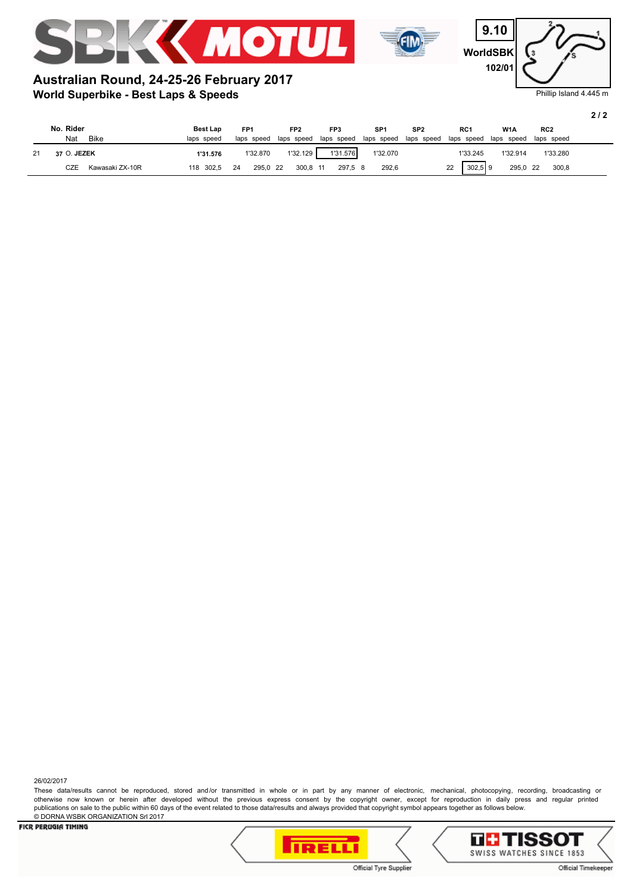



**WorldSBK 9.10 102/01**

#### Phillip Island 4.445 m

**2 / 2**

## **World Superbike - Best Laps & Speeds Australian Round, 24-25-26 February 2017**

| No. Rider<br><b>Bike</b><br>Nat | <b>Best Lap</b><br>laps speed | FP <sub>1</sub><br>laps speed | FP <sub>2</sub><br>laps speed | FP3<br>laps speed | SP <sub>1</sub><br>laps speed | SP <sub>2</sub><br>laps speed | RC <sub>1</sub><br>laps speed | W <sub>1</sub> A<br>laps speed | RC <sub>2</sub><br>laps speed |  |
|---------------------------------|-------------------------------|-------------------------------|-------------------------------|-------------------|-------------------------------|-------------------------------|-------------------------------|--------------------------------|-------------------------------|--|
| 37 O. JEZEK                     | 1'31.576                      | 1'32.870                      | 1'32.129                      | 1'31.576          | 1'32.070                      |                               | 1'33.245                      | 1'32.914                       | 1'33.280                      |  |
| CZE<br>Kawasaki ZX-10R          | 118 302,5                     | 295.0 22<br>24                | 300.8 11                      | 297.5 8           | 292,6                         |                               | $302.5$ 9<br>22               | 295,0 22                       | 300,8                         |  |

26/02/2017

These data/results cannot be reproduced, stored and/or transmitted in whole or in part by any manner of electronic, mechanical, photocopying, recording, broadcasting or otherwise now known or herein after developed without the previous express consent by the copyright owner, except for reproduction in daily press and regular printed publications on sale to the public within 60 days of the event related to those data/results and always provided that copyright symbol appears together as follows below. © DORNA WSBK ORGANIZATION Srl 2017



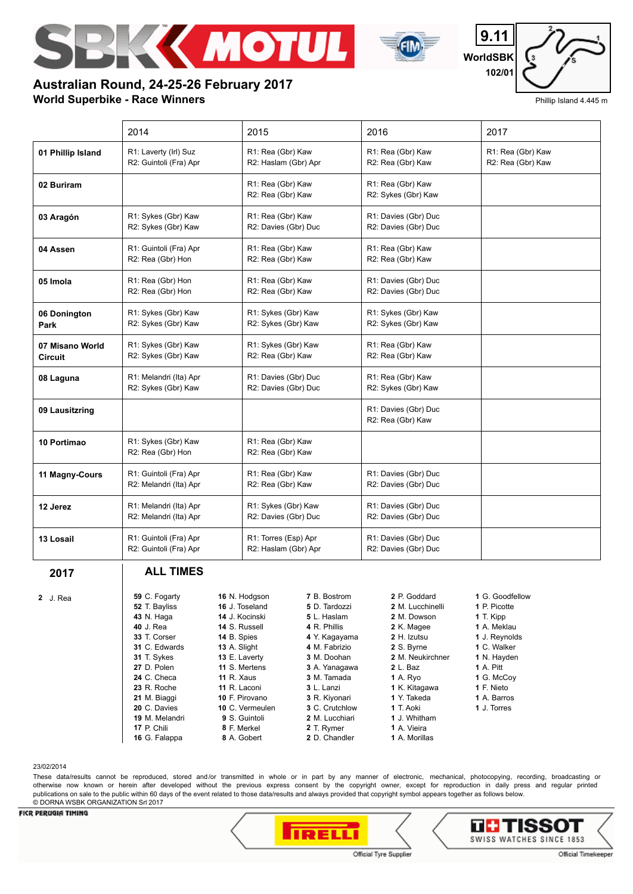

**Australian Round, 24-25-26 February 2017**



**WorldSBK 9.11 102/01**

## Phillip Island 4.445 m

#### **World Superbike - Race Winners** 2014 2015 2016 2017 **01 Phillip Island** R1: Laverty (Irl) Suz R2: Guintoli (Fra) Apr R1: Rea (Gbr) Kaw R2: Haslam (Gbr) Apr R1: Rea (Gbr) Kaw R2: Rea (Gbr) Kaw R1: Rea (Gbr) Kaw R2: Rea (Gbr) Kaw **02 Buriram R1: Rea** (Gbr) Kaw R2: Rea (Gbr) Kaw R1: Rea (Gbr) Kaw R2: Sykes (Gbr) Kaw **03 Aragón** R1: Sykes (Gbr) Kaw R2: Sykes (Gbr) Kaw R1: Rea (Gbr) Kaw R2: Davies (Gbr) Duc R1: Davies (Gbr) Duc R2: Davies (Gbr) Duc **04 Assen** R1: Guintoli (Fra) Apr R2: Rea (Gbr) Hon R1: Rea (Gbr) Kaw R2: Rea (Gbr) Kaw R1: Rea (Gbr) Kaw R2: Rea (Gbr) Kaw **05 Imola** R1: Rea (Gbr) Hon R2: Rea (Gbr) Hon R1: Rea (Gbr) Kaw R2: Rea (Gbr) Kaw R1: Davies (Gbr) Duc R2: Davies (Gbr) Duc **06 Donington Park** R1: Sykes (Gbr) Kaw R2: Sykes (Gbr) Kaw R1: Sykes (Gbr) Kaw R2: Sykes (Gbr) Kaw R1: Sykes (Gbr) Kaw R2: Sykes (Gbr) Kaw **07 Misano World Circuit** R1: Sykes (Gbr) Kaw R2: Sykes (Gbr) Kaw R1: Sykes (Gbr) Kaw R2: Rea (Gbr) Kaw R1: Rea (Gbr) Kaw R2: Rea (Gbr) Kaw **08 Laguna** | R1: Melandri (Ita) Apr R2: Sykes (Gbr) Kaw R1: Davies (Gbr) Duc R2: Davies (Gbr) Duc R1: Rea (Gbr) Kaw R2: Sykes (Gbr) Kaw **09 Lausitzring Community Community Community Community Community Community Community Community Community Community** R2: Rea (Gbr) Kaw **10 Portimao** R1: Sykes (Gbr) Kaw R2: Rea (Gbr) Hon R1: Rea (Gbr) Kaw R2: Rea (Gbr) Kaw 11 Magny-Cours | R1: Guintoli (Fra) Apr R2: Melandri (Ita) Apr R1: Rea (Gbr) Kaw R2: Rea (Gbr) Kaw R1: Davies (Gbr) Duc R2: Davies (Gbr) Duc **12 Jerez** R1: Melandri (Ita) Apr R2: Melandri (Ita) Apr R1: Sykes (Gbr) Kaw R2: Davies (Gbr) Duc R1: Davies (Gbr) Duc R2: Davies (Gbr) Duc 13 Losail R1: Guintoli (Fra) Apr R2: Guintoli (Fra) Apr R1: Torres (Esp) Apr R2: Haslam (Gbr) Apr R1: Davies (Gbr) Duc R2: Davies (Gbr) Duc **2017 2** J. Rea **ALL TIMES 59** C. Fogarty  **52** T. Bayliss  **43** N. Haga  **40** J. Rea  **33** T. Corser  **31** C. Edwards  **31** T. Sykes  **27** D. Polen  **24** C. Checa  **23** R. Roche  **21** M. Biaggi  **20** C. Davies  **19** M. Melandri  **17** P. Chili  **16** N. Hodgson  **16** J. Toseland  **14** J. Kocinski  **14** S. Russell  **14** B. Spies  **13** A. Slight  **13** E. Laverty **11** S. Mertens **11** R. Xaus **11** R. Laconi  **10** F. Pirovano  **10** C. Vermeulen  **9** S. Guintoli  **8** F. Merkel  **7** B. Bostrom  **5** D. Tardozzi  **5** L. Haslam  **4** R. Phillis  **4** Y. Kagayama  **4** M. Fabrizio  **3** M. Doohan  **3** A. Yanagawa  **3** M. Tamada  **3** L. Lanzi  **3** R. Kiyonari  **3** C. Crutchlow  **2** M. Lucchiari  **2** T. Rymer  **2** P. Goddard  **2** M. Lucchinelli  **2** M. Dowson  **2** K. Magee  **2** H. Izutsu  **2** S. Byrne  **2** M. Neukirchner  **2** L. Baz  **1** A. Ryo  **1** K. Kitagawa  **1** Y. Takeda  **1** T. Aoki  **1** J. Whitham  **1** A. Vieira  **1** G. Goodfellow  **1** P. Picotte  **1** T. Kipp  **1** A. Meklau  **1** J. Reynolds  **1** C. Walker  **1** N. Hayden  **1** A. Pitt  **1** G. McCoy  **1** F. Nieto  **1** A. Barros  **1** J. Torres

#### 23/02/2014

 **16** G. Falappa

 **8** A. Gobert

These data/results cannot be reproduced, stored and/or transmitted in whole or in part by any manner of electronic, mechanical, photocopying, recording, broadcasting or otherwise now known or herein after developed without the previous express consent by the copyright owner, except for reproduction in daily press and regular printed publications on sale to the public within 60 days of the event related to those data/results and always provided that copyright symbol appears together as follows below. © DORNA WSBK ORGANIZATION Srl 2017

 **2** D. Chandler

#### **FICR PERUGIA TIMING**





 **1** A. Morillas